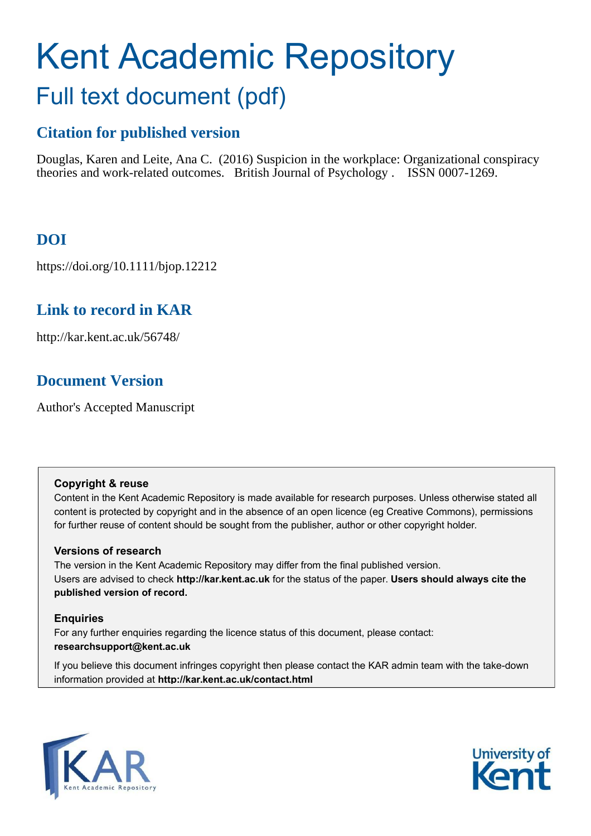# Kent Academic Repository Full text document (pdf)

### **Citation for published version**

Douglas, Karen and Leite, Ana C. (2016) Suspicion in the workplace: Organizational conspiracy theories and work-related outcomes. British Journal of Psychology . ISSN 0007-1269.

# **DOI**

https://doi.org/10.1111/bjop.12212

# **Link to record in KAR**

http://kar.kent.ac.uk/56748/

# **Document Version**

Author's Accepted Manuscript

### **Copyright & reuse**

Content in the Kent Academic Repository is made available for research purposes. Unless otherwise stated all content is protected by copyright and in the absence of an open licence (eg Creative Commons), permissions for further reuse of content should be sought from the publisher, author or other copyright holder.

### **Versions of research**

The version in the Kent Academic Repository may differ from the final published version. Users are advised to check **http://kar.kent.ac.uk** for the status of the paper. **Users should always cite the published version of record.**

### **Enquiries**

For any further enquiries regarding the licence status of this document, please contact: **researchsupport@kent.ac.uk**

If you believe this document infringes copyright then please contact the KAR admin team with the take-down information provided at **http://kar.kent.ac.uk/contact.html**



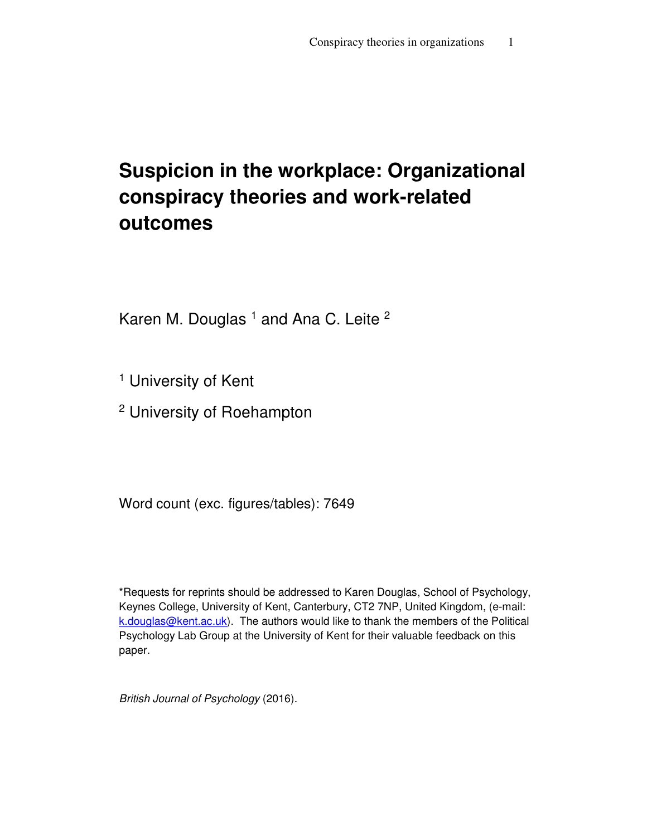# **Suspicion in the workplace: Organizational conspiracy theories and work-related outcomes**

Karen M. Douglas <sup>1</sup> and Ana C. Leite <sup>2</sup>

<sup>1</sup> University of Kent

<sup>2</sup> University of Roehampton

Word count (exc. figures/tables): 7649

\*Requests for reprints should be addressed to Karen Douglas, School of Psychology, Keynes College, University of Kent, Canterbury, CT2 7NP, United Kingdom, (e-mail: k.douglas@kent.ac.uk). The authors would like to thank the members of the Political Psychology Lab Group at the University of Kent for their valuable feedback on this paper.

British Journal of Psychology (2016).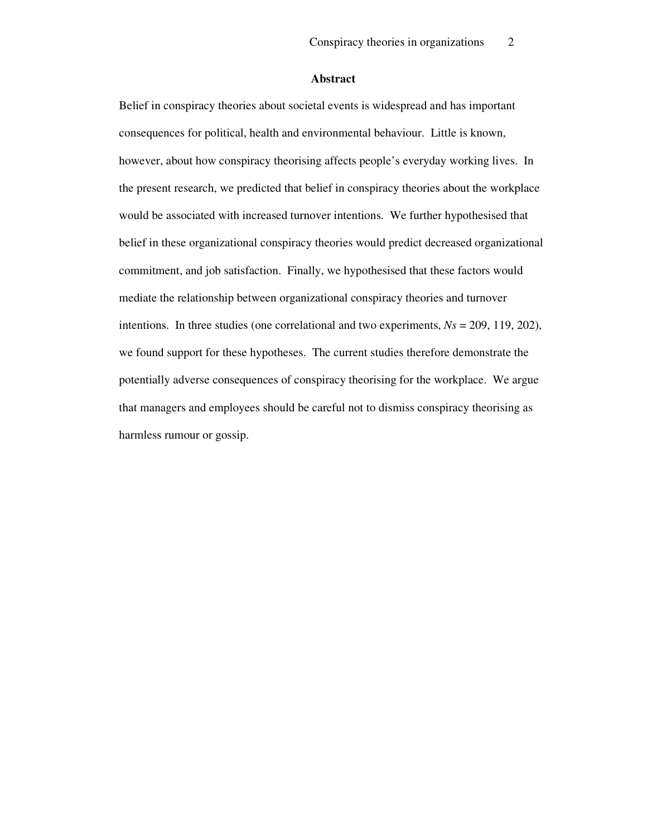#### **Abstract**

Belief in conspiracy theories about societal events is widespread and has important consequences for political, health and environmental behaviour. Little is known, however, about how conspiracy theorising affects people's everyday working lives. In the present research, we predicted that belief in conspiracy theories about the workplace would be associated with increased turnover intentions. We further hypothesised that belief in these organizational conspiracy theories would predict decreased organizational commitment, and job satisfaction. Finally, we hypothesised that these factors would mediate the relationship between organizational conspiracy theories and turnover intentions. In three studies (one correlational and two experiments, *Ns* = 209, 119, 202), we found support for these hypotheses. The current studies therefore demonstrate the potentially adverse consequences of conspiracy theorising for the workplace. We argue that managers and employees should be careful not to dismiss conspiracy theorising as harmless rumour or gossip.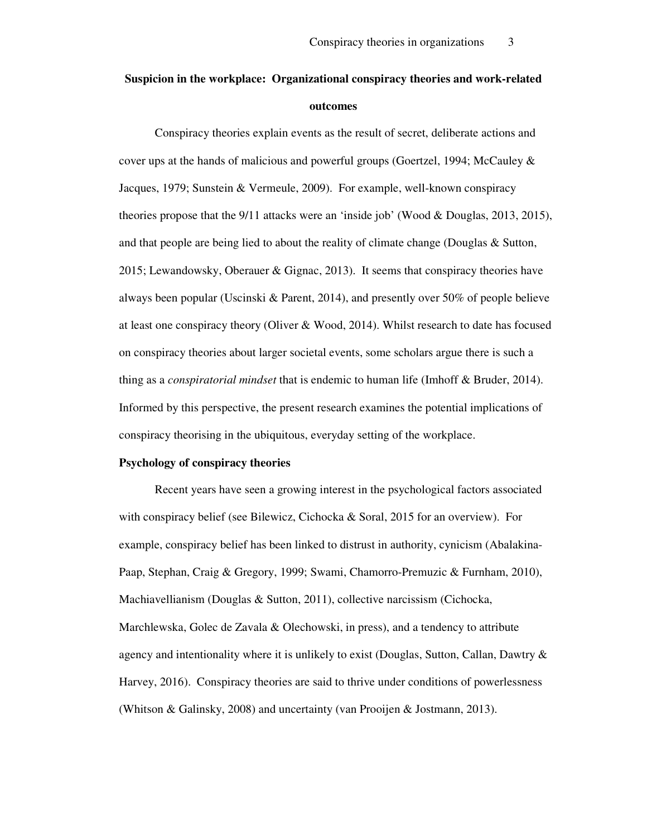# **Suspicion in the workplace: Organizational conspiracy theories and work-related outcomes**

Conspiracy theories explain events as the result of secret, deliberate actions and cover ups at the hands of malicious and powerful groups (Goertzel, 1994; McCauley  $\&$ Jacques, 1979; Sunstein & Vermeule, 2009). For example, well-known conspiracy theories propose that the 9/11 attacks were an 'inside job' (Wood & Douglas, 2013, 2015), and that people are being lied to about the reality of climate change (Douglas & Sutton, 2015; Lewandowsky, Oberauer & Gignac, 2013). It seems that conspiracy theories have always been popular (Uscinski & Parent, 2014), and presently over 50% of people believe at least one conspiracy theory (Oliver & Wood, 2014). Whilst research to date has focused on conspiracy theories about larger societal events, some scholars argue there is such a thing as a *conspiratorial mindset* that is endemic to human life (Imhoff & Bruder, 2014). Informed by this perspective, the present research examines the potential implications of conspiracy theorising in the ubiquitous, everyday setting of the workplace.

#### **Psychology of conspiracy theories**

Recent years have seen a growing interest in the psychological factors associated with conspiracy belief (see Bilewicz, Cichocka & Soral, 2015 for an overview). For example, conspiracy belief has been linked to distrust in authority, cynicism (Abalakina-Paap, Stephan, Craig & Gregory, 1999; Swami, Chamorro-Premuzic & Furnham, 2010), Machiavellianism (Douglas & Sutton, 2011), collective narcissism (Cichocka, Marchlewska, Golec de Zavala & Olechowski, in press), and a tendency to attribute agency and intentionality where it is unlikely to exist (Douglas, Sutton, Callan, Dawtry & Harvey, 2016). Conspiracy theories are said to thrive under conditions of powerlessness (Whitson & Galinsky, 2008) and uncertainty (van Prooijen & Jostmann, 2013).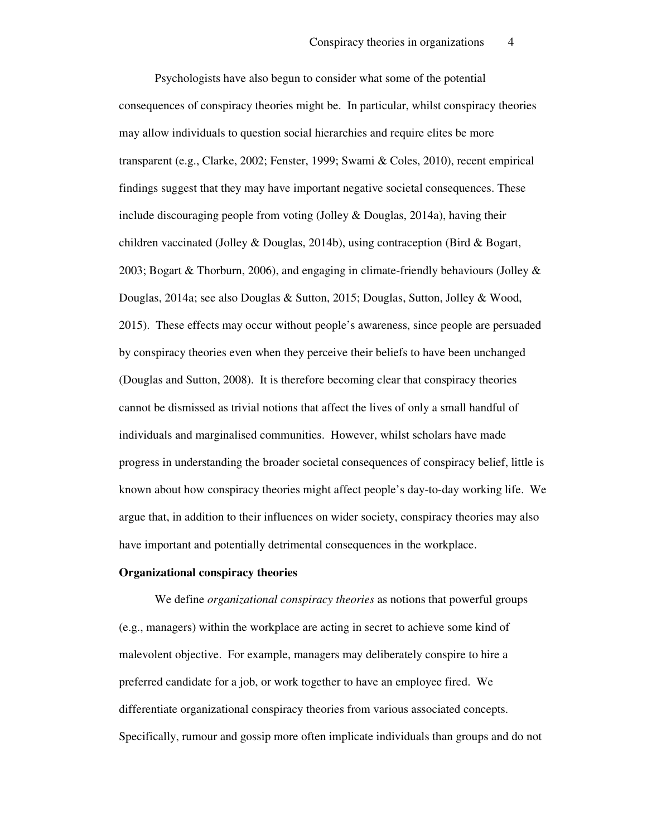Psychologists have also begun to consider what some of the potential consequences of conspiracy theories might be. In particular, whilst conspiracy theories may allow individuals to question social hierarchies and require elites be more transparent (e.g., Clarke, 2002; Fenster, 1999; Swami & Coles, 2010), recent empirical findings suggest that they may have important negative societal consequences. These include discouraging people from voting (Jolley & Douglas, 2014a), having their children vaccinated (Jolley & Douglas, 2014b), using contraception (Bird & Bogart, 2003; Bogart & Thorburn, 2006), and engaging in climate-friendly behaviours (Jolley & Douglas, 2014a; see also Douglas & Sutton, 2015; Douglas, Sutton, Jolley & Wood, 2015). These effects may occur without people's awareness, since people are persuaded by conspiracy theories even when they perceive their beliefs to have been unchanged (Douglas and Sutton, 2008). It is therefore becoming clear that conspiracy theories cannot be dismissed as trivial notions that affect the lives of only a small handful of individuals and marginalised communities. However, whilst scholars have made progress in understanding the broader societal consequences of conspiracy belief, little is known about how conspiracy theories might affect people's day-to-day working life. We argue that, in addition to their influences on wider society, conspiracy theories may also have important and potentially detrimental consequences in the workplace.

#### **Organizational conspiracy theories**

We define *organizational conspiracy theories* as notions that powerful groups (e.g., managers) within the workplace are acting in secret to achieve some kind of malevolent objective. For example, managers may deliberately conspire to hire a preferred candidate for a job, or work together to have an employee fired. We differentiate organizational conspiracy theories from various associated concepts. Specifically, rumour and gossip more often implicate individuals than groups and do not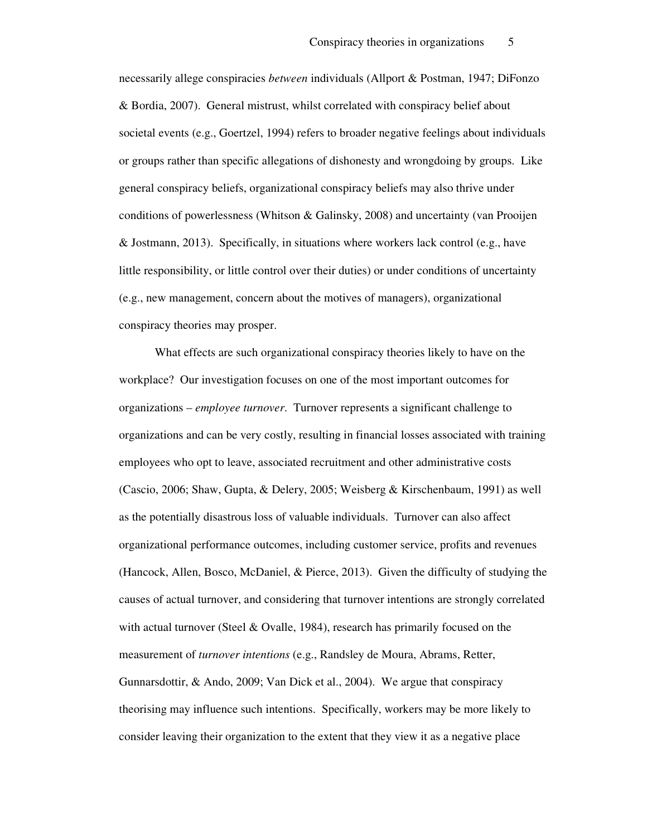necessarily allege conspiracies *between* individuals (Allport & Postman, 1947; DiFonzo & Bordia, 2007). General mistrust, whilst correlated with conspiracy belief about societal events (e.g., Goertzel, 1994) refers to broader negative feelings about individuals or groups rather than specific allegations of dishonesty and wrongdoing by groups. Like general conspiracy beliefs, organizational conspiracy beliefs may also thrive under conditions of powerlessness (Whitson & Galinsky, 2008) and uncertainty (van Prooijen & Jostmann, 2013). Specifically, in situations where workers lack control (e.g., have little responsibility, or little control over their duties) or under conditions of uncertainty (e.g., new management, concern about the motives of managers), organizational conspiracy theories may prosper.

What effects are such organizational conspiracy theories likely to have on the workplace? Our investigation focuses on one of the most important outcomes for organizations – *employee turnover*. Turnover represents a significant challenge to organizations and can be very costly, resulting in financial losses associated with training employees who opt to leave, associated recruitment and other administrative costs (Cascio, 2006; Shaw, Gupta, & Delery, 2005; Weisberg & Kirschenbaum, 1991) as well as the potentially disastrous loss of valuable individuals. Turnover can also affect organizational performance outcomes, including customer service, profits and revenues (Hancock, Allen, Bosco, McDaniel, & Pierce, 2013). Given the difficulty of studying the causes of actual turnover, and considering that turnover intentions are strongly correlated with actual turnover (Steel & Ovalle, 1984), research has primarily focused on the measurement of *turnover intentions* (e.g., Randsley de Moura, Abrams, Retter, Gunnarsdottir, & Ando, 2009; Van Dick et al., 2004). We argue that conspiracy theorising may influence such intentions. Specifically, workers may be more likely to consider leaving their organization to the extent that they view it as a negative place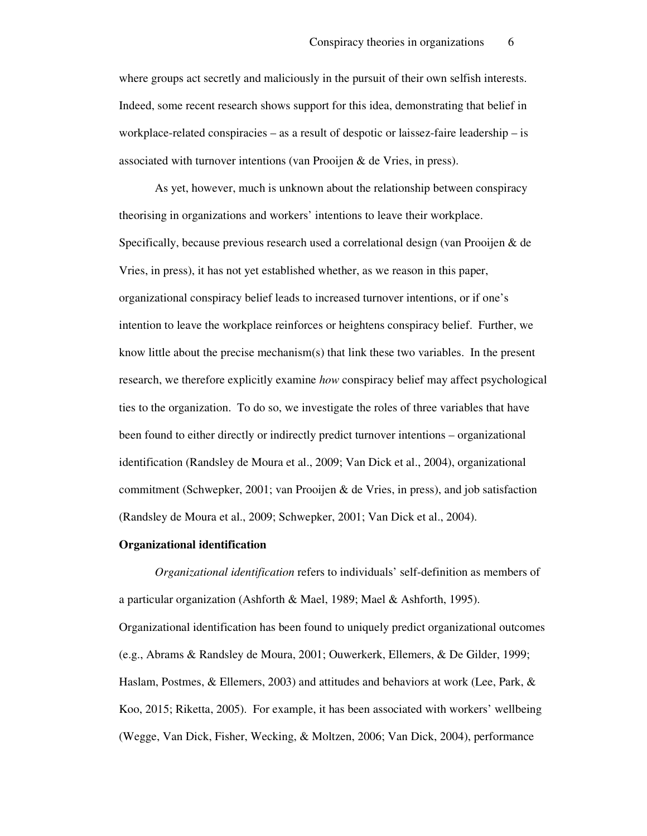where groups act secretly and maliciously in the pursuit of their own selfish interests. Indeed, some recent research shows support for this idea, demonstrating that belief in workplace-related conspiracies – as a result of despotic or laissez-faire leadership – is associated with turnover intentions (van Prooijen & de Vries, in press).

As yet, however, much is unknown about the relationship between conspiracy theorising in organizations and workers' intentions to leave their workplace. Specifically, because previous research used a correlational design (van Prooijen & de Vries, in press), it has not yet established whether, as we reason in this paper, organizational conspiracy belief leads to increased turnover intentions, or if one's intention to leave the workplace reinforces or heightens conspiracy belief. Further, we know little about the precise mechanism(s) that link these two variables. In the present research, we therefore explicitly examine *how* conspiracy belief may affect psychological ties to the organization. To do so, we investigate the roles of three variables that have been found to either directly or indirectly predict turnover intentions – organizational identification (Randsley de Moura et al., 2009; Van Dick et al., 2004), organizational commitment (Schwepker, 2001; van Prooijen & de Vries, in press), and job satisfaction (Randsley de Moura et al., 2009; Schwepker, 2001; Van Dick et al., 2004).

#### **Organizational identification**

*Organizational identification* refers to individuals' self-definition as members of a particular organization (Ashforth & Mael, 1989; Mael & Ashforth, 1995). Organizational identification has been found to uniquely predict organizational outcomes (e.g., Abrams & Randsley de Moura, 2001; Ouwerkerk, Ellemers, & De Gilder, 1999; Haslam, Postmes, & Ellemers, 2003) and attitudes and behaviors at work (Lee, Park, & Koo, 2015; Riketta, 2005). For example, it has been associated with workers' wellbeing (Wegge, Van Dick, Fisher, Wecking, & Moltzen, 2006; Van Dick, 2004), performance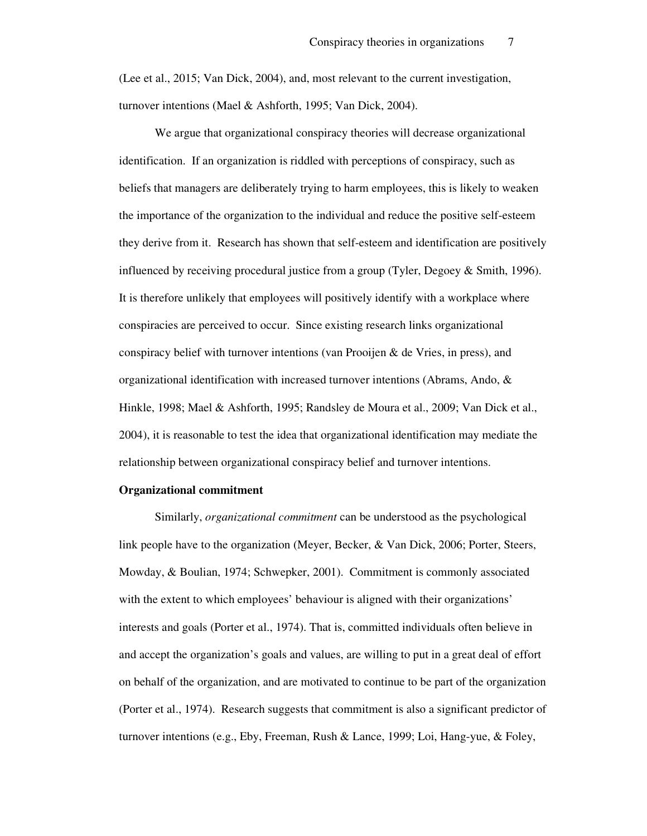(Lee et al., 2015; Van Dick, 2004), and, most relevant to the current investigation, turnover intentions (Mael & Ashforth, 1995; Van Dick, 2004).

We argue that organizational conspiracy theories will decrease organizational identification. If an organization is riddled with perceptions of conspiracy, such as beliefs that managers are deliberately trying to harm employees, this is likely to weaken the importance of the organization to the individual and reduce the positive self-esteem they derive from it. Research has shown that self-esteem and identification are positively influenced by receiving procedural justice from a group (Tyler, Degoey & Smith, 1996). It is therefore unlikely that employees will positively identify with a workplace where conspiracies are perceived to occur. Since existing research links organizational conspiracy belief with turnover intentions (van Prooijen & de Vries, in press), and organizational identification with increased turnover intentions (Abrams, Ando, & Hinkle, 1998; Mael & Ashforth, 1995; Randsley de Moura et al., 2009; Van Dick et al., 2004), it is reasonable to test the idea that organizational identification may mediate the relationship between organizational conspiracy belief and turnover intentions.

#### **Organizational commitment**

Similarly, *organizational commitment* can be understood as the psychological link people have to the organization (Meyer, Becker, & Van Dick, 2006; Porter, Steers, Mowday, & Boulian, 1974; Schwepker, 2001). Commitment is commonly associated with the extent to which employees' behaviour is aligned with their organizations' interests and goals (Porter et al., 1974). That is, committed individuals often believe in and accept the organization's goals and values, are willing to put in a great deal of effort on behalf of the organization, and are motivated to continue to be part of the organization (Porter et al., 1974). Research suggests that commitment is also a significant predictor of turnover intentions (e.g., Eby, Freeman, Rush & Lance, 1999; Loi, Hang-yue, & Foley,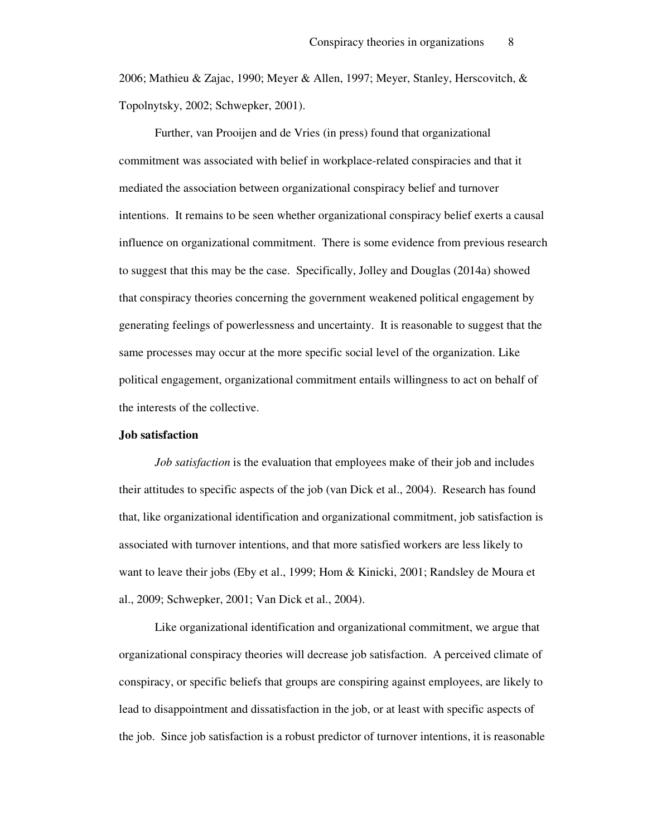2006; Mathieu & Zajac, 1990; Meyer & Allen, 1997; Meyer, Stanley, Herscovitch, & Topolnytsky, 2002; Schwepker, 2001).

Further, van Prooijen and de Vries (in press) found that organizational commitment was associated with belief in workplace-related conspiracies and that it mediated the association between organizational conspiracy belief and turnover intentions. It remains to be seen whether organizational conspiracy belief exerts a causal influence on organizational commitment. There is some evidence from previous research to suggest that this may be the case. Specifically, Jolley and Douglas (2014a) showed that conspiracy theories concerning the government weakened political engagement by generating feelings of powerlessness and uncertainty. It is reasonable to suggest that the same processes may occur at the more specific social level of the organization. Like political engagement, organizational commitment entails willingness to act on behalf of the interests of the collective.

#### **Job satisfaction**

*Job satisfaction* is the evaluation that employees make of their job and includes their attitudes to specific aspects of the job (van Dick et al., 2004). Research has found that, like organizational identification and organizational commitment, job satisfaction is associated with turnover intentions, and that more satisfied workers are less likely to want to leave their jobs (Eby et al., 1999; Hom & Kinicki, 2001; Randsley de Moura et al., 2009; Schwepker, 2001; Van Dick et al., 2004).

Like organizational identification and organizational commitment, we argue that organizational conspiracy theories will decrease job satisfaction. A perceived climate of conspiracy, or specific beliefs that groups are conspiring against employees, are likely to lead to disappointment and dissatisfaction in the job, or at least with specific aspects of the job. Since job satisfaction is a robust predictor of turnover intentions, it is reasonable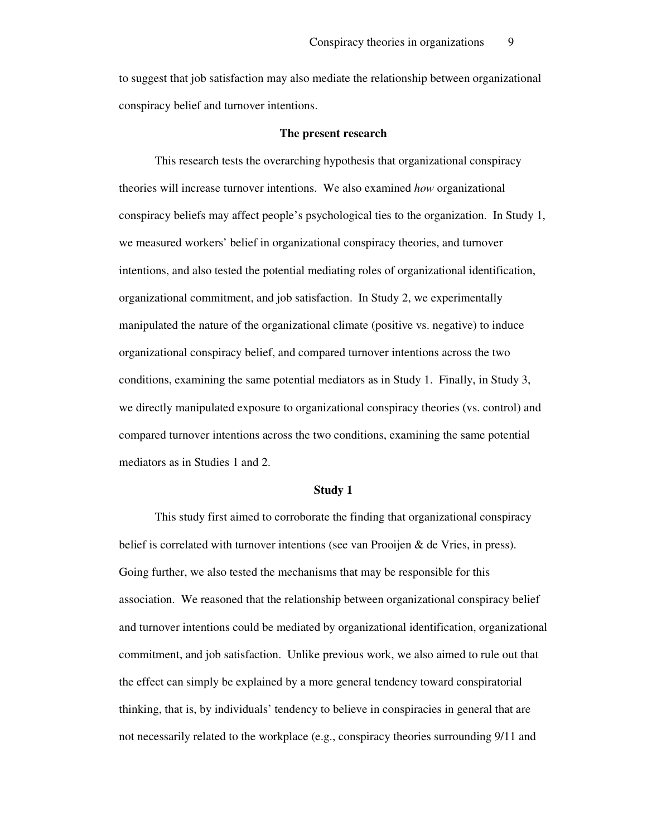to suggest that job satisfaction may also mediate the relationship between organizational conspiracy belief and turnover intentions.

#### **The present research**

 This research tests the overarching hypothesis that organizational conspiracy theories will increase turnover intentions. We also examined *how* organizational conspiracy beliefs may affect people's psychological ties to the organization. In Study 1, we measured workers' belief in organizational conspiracy theories, and turnover intentions, and also tested the potential mediating roles of organizational identification, organizational commitment, and job satisfaction. In Study 2, we experimentally manipulated the nature of the organizational climate (positive vs. negative) to induce organizational conspiracy belief, and compared turnover intentions across the two conditions, examining the same potential mediators as in Study 1. Finally, in Study 3, we directly manipulated exposure to organizational conspiracy theories (vs. control) and compared turnover intentions across the two conditions, examining the same potential mediators as in Studies 1 and 2.

#### **Study 1**

 This study first aimed to corroborate the finding that organizational conspiracy belief is correlated with turnover intentions (see van Prooijen & de Vries, in press). Going further, we also tested the mechanisms that may be responsible for this association. We reasoned that the relationship between organizational conspiracy belief and turnover intentions could be mediated by organizational identification, organizational commitment, and job satisfaction. Unlike previous work, we also aimed to rule out that the effect can simply be explained by a more general tendency toward conspiratorial thinking, that is, by individuals' tendency to believe in conspiracies in general that are not necessarily related to the workplace (e.g., conspiracy theories surrounding 9/11 and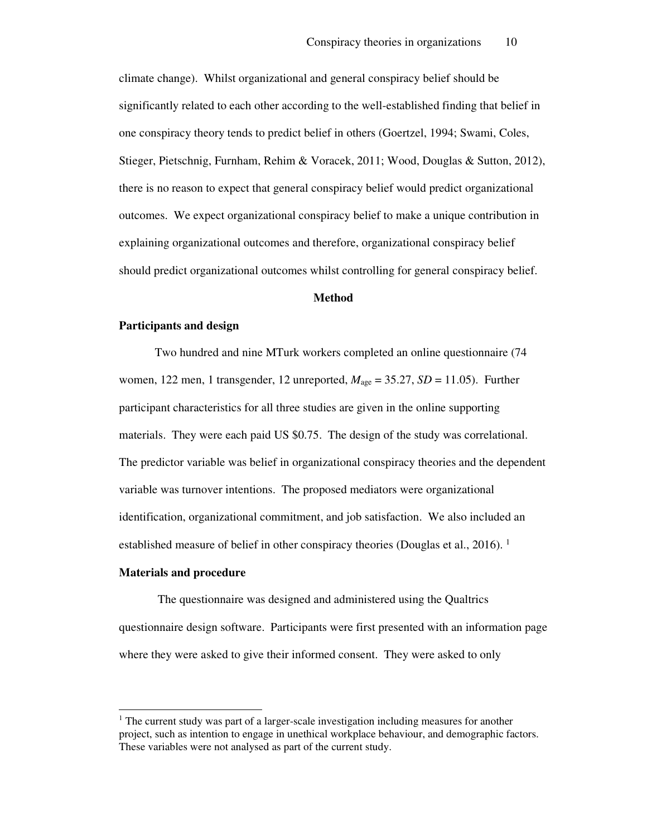climate change). Whilst organizational and general conspiracy belief should be significantly related to each other according to the well-established finding that belief in one conspiracy theory tends to predict belief in others (Goertzel, 1994; Swami, Coles, Stieger, Pietschnig, Furnham, Rehim & Voracek, 2011; Wood, Douglas & Sutton, 2012), there is no reason to expect that general conspiracy belief would predict organizational outcomes. We expect organizational conspiracy belief to make a unique contribution in explaining organizational outcomes and therefore, organizational conspiracy belief should predict organizational outcomes whilst controlling for general conspiracy belief.

#### **Method**

#### **Participants and design**

Two hundred and nine MTurk workers completed an online questionnaire (74 women, 122 men, 1 transgender, 12 unreported,  $M_{\text{age}} = 35.27$ ,  $SD = 11.05$ ). Further participant characteristics for all three studies are given in the online supporting materials. They were each paid US \$0.75. The design of the study was correlational. The predictor variable was belief in organizational conspiracy theories and the dependent variable was turnover intentions. The proposed mediators were organizational identification, organizational commitment, and job satisfaction. We also included an established measure of belief in other conspiracy theories (Douglas et al., 2016). <sup>1</sup>

#### **Materials and procedure**

 $\overline{a}$ 

 The questionnaire was designed and administered using the Qualtrics questionnaire design software. Participants were first presented with an information page where they were asked to give their informed consent. They were asked to only

<sup>&</sup>lt;sup>1</sup> The current study was part of a larger-scale investigation including measures for another project, such as intention to engage in unethical workplace behaviour, and demographic factors. These variables were not analysed as part of the current study.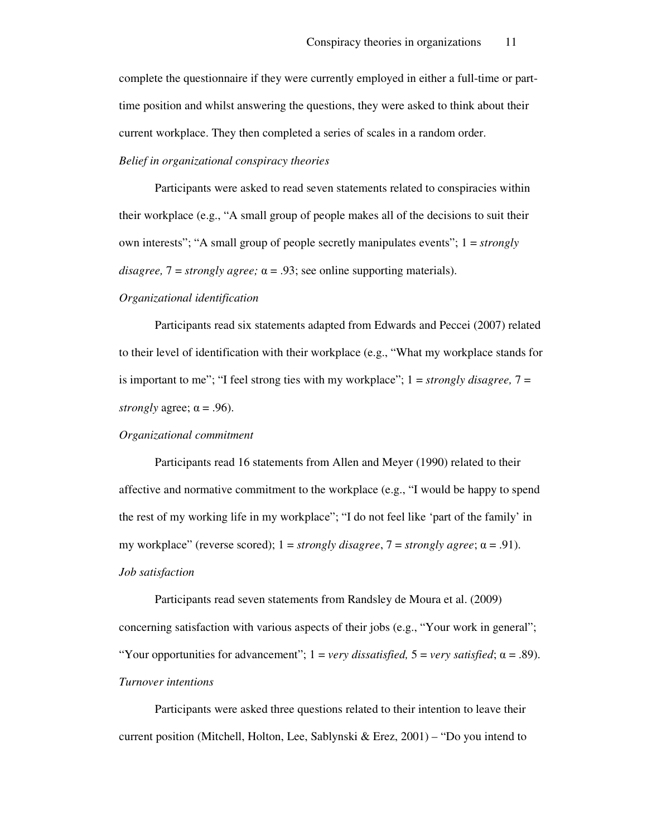complete the questionnaire if they were currently employed in either a full-time or parttime position and whilst answering the questions, they were asked to think about their current workplace. They then completed a series of scales in a random order.

#### *Belief in organizational conspiracy theories*

 Participants were asked to read seven statements related to conspiracies within their workplace (e.g., "A small group of people makes all of the decisions to suit their own interests"; "A small group of people secretly manipulates events"; 1 = *strongly disagree,*  $7 =$  *strongly agree;*  $\alpha = .93$ ; see online supporting materials).

#### *Organizational identification*

 Participants read six statements adapted from Edwards and Peccei (2007) related to their level of identification with their workplace (e.g., "What my workplace stands for is important to me"; "I feel strong ties with my workplace"; 1 = *strongly disagree,* 7 = *strongly agree;*  $\alpha$  *= .96).* 

#### *Organizational commitment*

 Participants read 16 statements from Allen and Meyer (1990) related to their affective and normative commitment to the workplace (e.g., "I would be happy to spend the rest of my working life in my workplace"; "I do not feel like 'part of the family' in my workplace" (reverse scored);  $1 =$  *strongly disagree*,  $7 =$  *strongly agree*;  $\alpha = .91$ ). *Job satisfaction* 

Participants read seven statements from Randsley de Moura et al. (2009) concerning satisfaction with various aspects of their jobs (e.g., "Your work in general"; "Your opportunities for advancement";  $1 = \text{very dissatisfied}$ ,  $5 = \text{very satisfied}$ ;  $\alpha = .89$ ). *Turnover intentions* 

Participants were asked three questions related to their intention to leave their current position (Mitchell, Holton, Lee, Sablynski & Erez,  $2001$ ) – "Do you intend to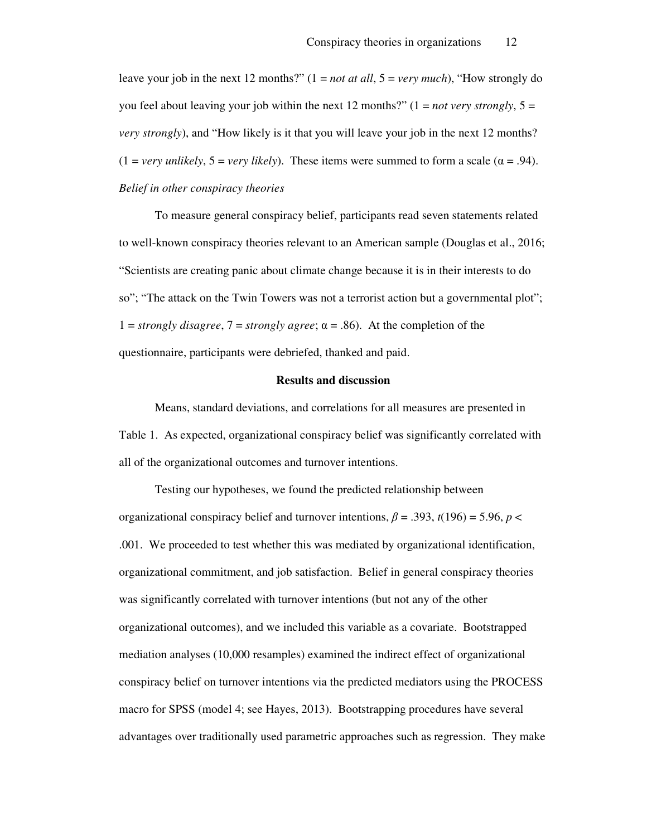leave your job in the next 12 months?" (1 = *not at all*, 5 = *very much*), "How strongly do you feel about leaving your job within the next 12 months?" ( $1 = not \, very \, strongly, 5 =$ *very strongly*), and "How likely is it that you will leave your job in the next 12 months?  $(1 = \text{very unlikely}, 5 = \text{very likely})$ . These items were summed to form a scale ( $\alpha = .94$ ). *Belief in other conspiracy theories* 

 To measure general conspiracy belief, participants read seven statements related to well-known conspiracy theories relevant to an American sample (Douglas et al., 2016; "Scientists are creating panic about climate change because it is in their interests to do so"; "The attack on the Twin Towers was not a terrorist action but a governmental plot"; 1 = *strongly disagree*,  $7 =$  *strongly agree*;  $\alpha = .86$ ). At the completion of the questionnaire, participants were debriefed, thanked and paid.

#### **Results and discussion**

Means, standard deviations, and correlations for all measures are presented in Table 1. As expected, organizational conspiracy belief was significantly correlated with all of the organizational outcomes and turnover intentions.

Testing our hypotheses, we found the predicted relationship between organizational conspiracy belief and turnover intentions,  $\beta = .393$ ,  $t(196) = 5.96$ ,  $p <$ .001. We proceeded to test whether this was mediated by organizational identification, organizational commitment, and job satisfaction. Belief in general conspiracy theories was significantly correlated with turnover intentions (but not any of the other organizational outcomes), and we included this variable as a covariate. Bootstrapped mediation analyses (10,000 resamples) examined the indirect effect of organizational conspiracy belief on turnover intentions via the predicted mediators using the PROCESS macro for SPSS (model 4; see Hayes, 2013). Bootstrapping procedures have several advantages over traditionally used parametric approaches such as regression. They make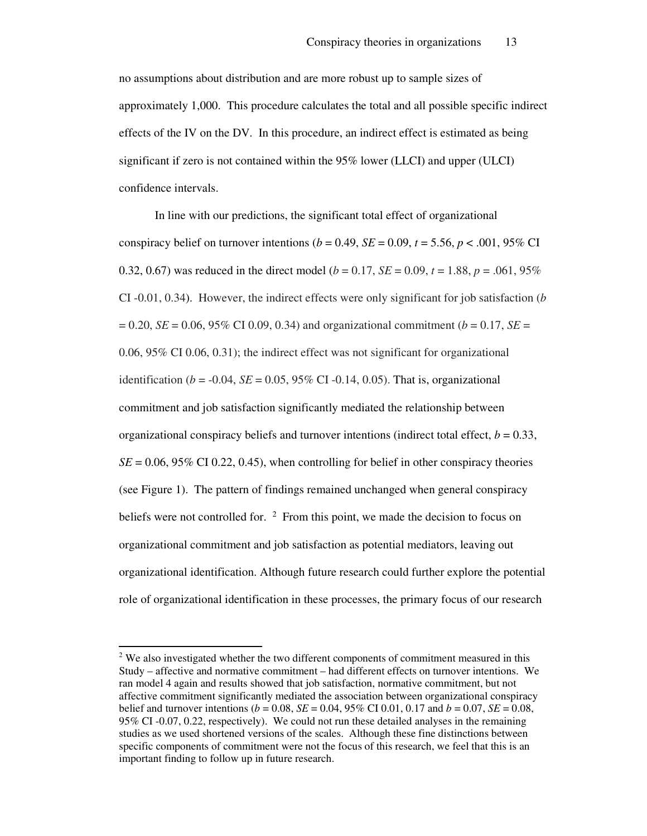no assumptions about distribution and are more robust up to sample sizes of approximately 1,000. This procedure calculates the total and all possible specific indirect effects of the IV on the DV. In this procedure, an indirect effect is estimated as being significant if zero is not contained within the 95% lower (LLCI) and upper (ULCI) confidence intervals.

In line with our predictions, the significant total effect of organizational conspiracy belief on turnover intentions ( $b = 0.49$ ,  $SE = 0.09$ ,  $t = 5.56$ ,  $p < .001$ , 95% CI 0.32, 0.67) was reduced in the direct model ( $b = 0.17$ ,  $SE = 0.09$ ,  $t = 1.88$ ,  $p = .061$ , 95% CI -0.01, 0.34). However, the indirect effects were only significant for job satisfaction (*b*  $= 0.20, SE = 0.06, 95\% \text{ CI } 0.09, 0.34$  and organizational commitment ( $b = 0.17, SE = 0.06$ ) 0.06, 95% CI 0.06, 0.31); the indirect effect was not significant for organizational identification ( $b = -0.04$ ,  $SE = 0.05$ , 95% CI -0.14, 0.05). That is, organizational commitment and job satisfaction significantly mediated the relationship between organizational conspiracy beliefs and turnover intentions (indirect total effect,  $b = 0.33$ ,  $SE = 0.06$ , 95% CI 0.22, 0.45), when controlling for belief in other conspiracy theories (see Figure 1). The pattern of findings remained unchanged when general conspiracy beliefs were not controlled for. <sup>2</sup> From this point, we made the decision to focus on organizational commitment and job satisfaction as potential mediators, leaving out organizational identification. Although future research could further explore the potential role of organizational identification in these processes, the primary focus of our research

 $\overline{a}$ 

 $2$  We also investigated whether the two different components of commitment measured in this Study – affective and normative commitment – had different effects on turnover intentions. We ran model 4 again and results showed that job satisfaction, normative commitment, but not affective commitment significantly mediated the association between organizational conspiracy belief and turnover intentions (*b* = 0.08, *SE* = 0.04, 95% CI 0.01, 0.17 and *b* = 0.07, *SE* = 0.08, 95% CI -0.07, 0.22, respectively). We could not run these detailed analyses in the remaining studies as we used shortened versions of the scales. Although these fine distinctions between specific components of commitment were not the focus of this research, we feel that this is an important finding to follow up in future research.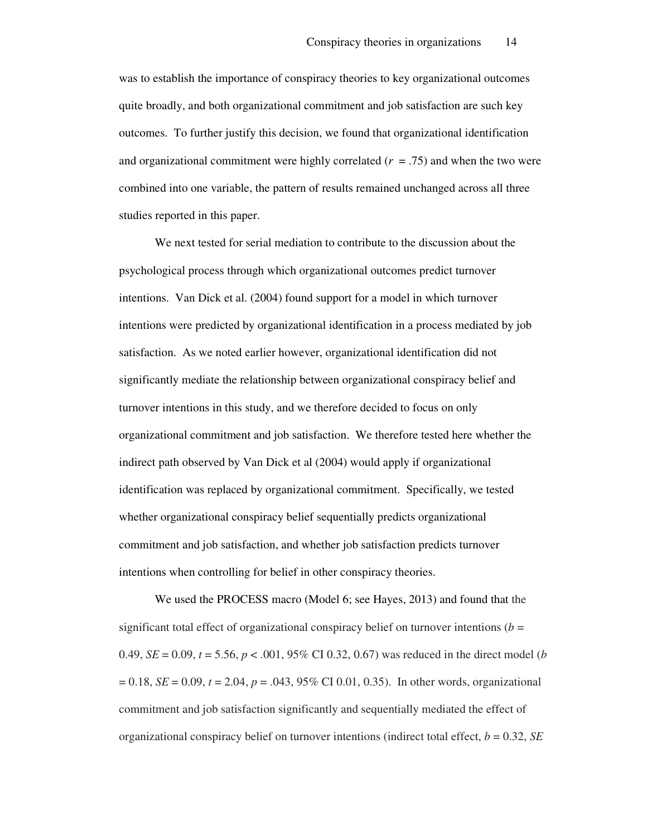was to establish the importance of conspiracy theories to key organizational outcomes quite broadly, and both organizational commitment and job satisfaction are such key outcomes. To further justify this decision, we found that organizational identification and organizational commitment were highly correlated  $(r = .75)$  and when the two were combined into one variable, the pattern of results remained unchanged across all three studies reported in this paper.

We next tested for serial mediation to contribute to the discussion about the psychological process through which organizational outcomes predict turnover intentions. Van Dick et al. (2004) found support for a model in which turnover intentions were predicted by organizational identification in a process mediated by job satisfaction. As we noted earlier however, organizational identification did not significantly mediate the relationship between organizational conspiracy belief and turnover intentions in this study, and we therefore decided to focus on only organizational commitment and job satisfaction. We therefore tested here whether the indirect path observed by Van Dick et al (2004) would apply if organizational identification was replaced by organizational commitment. Specifically, we tested whether organizational conspiracy belief sequentially predicts organizational commitment and job satisfaction, and whether job satisfaction predicts turnover intentions when controlling for belief in other conspiracy theories.

We used the PROCESS macro (Model 6; see Hayes, 2013) and found that the significant total effect of organizational conspiracy belief on turnover intentions ( $b =$ 0.49,  $SE = 0.09$ ,  $t = 5.56$ ,  $p < .001$ , 95% CI 0.32, 0.67) was reduced in the direct model (*b*  $= 0.18$ ,  $SE = 0.09$ ,  $t = 2.04$ ,  $p = .043$ ,  $95\%$  CI 0.01, 0.35). In other words, organizational commitment and job satisfaction significantly and sequentially mediated the effect of organizational conspiracy belief on turnover intentions (indirect total effect, *b* = 0.32, *SE*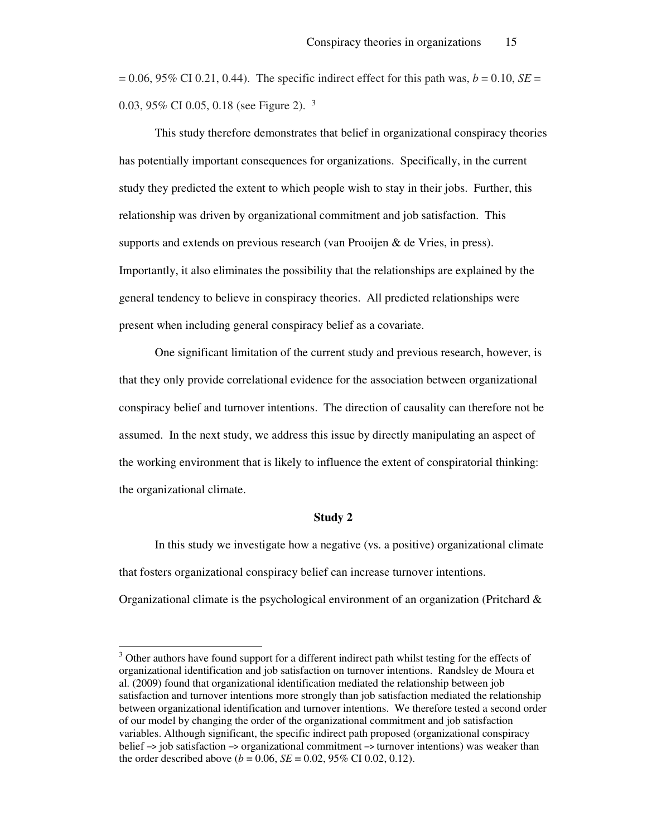$= 0.06, 95\% \text{ CI } 0.21, 0.44$ ). The specific indirect effect for this path was,  $b = 0.10, SE = 0.06$ 0.03, 95% CI 0.05, 0.18 (see Figure 2). <sup>3</sup>

This study therefore demonstrates that belief in organizational conspiracy theories has potentially important consequences for organizations. Specifically, in the current study they predicted the extent to which people wish to stay in their jobs. Further, this relationship was driven by organizational commitment and job satisfaction. This supports and extends on previous research (van Prooijen & de Vries, in press). Importantly, it also eliminates the possibility that the relationships are explained by the general tendency to believe in conspiracy theories. All predicted relationships were present when including general conspiracy belief as a covariate.

One significant limitation of the current study and previous research, however, is that they only provide correlational evidence for the association between organizational conspiracy belief and turnover intentions. The direction of causality can therefore not be assumed. In the next study, we address this issue by directly manipulating an aspect of the working environment that is likely to influence the extent of conspiratorial thinking: the organizational climate.

#### **Study 2**

 In this study we investigate how a negative (vs. a positive) organizational climate that fosters organizational conspiracy belief can increase turnover intentions. Organizational climate is the psychological environment of an organization (Pritchard  $\&$ 

 $\overline{a}$ 

<sup>&</sup>lt;sup>3</sup> Other authors have found support for a different indirect path whilst testing for the effects of organizational identification and job satisfaction on turnover intentions. Randsley de Moura et al. (2009) found that organizational identification mediated the relationship between job satisfaction and turnover intentions more strongly than job satisfaction mediated the relationship between organizational identification and turnover intentions. We therefore tested a second order of our model by changing the order of the organizational commitment and job satisfaction variables. Although significant, the specific indirect path proposed (organizational conspiracy belief –> job satisfaction –> organizational commitment –> turnover intentions) was weaker than the order described above ( $b = 0.06$ ,  $SE = 0.02$ ,  $95\%$  CI 0.02, 0.12).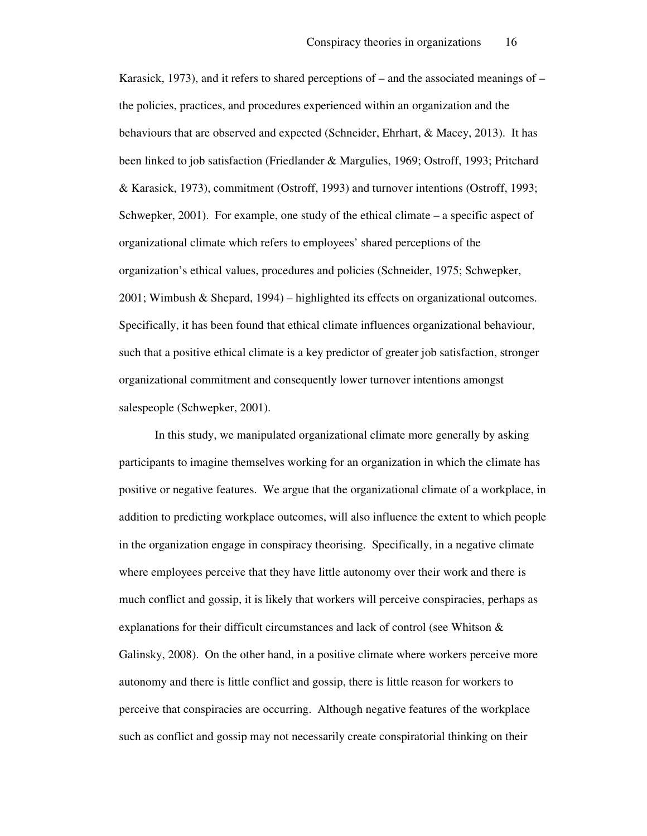Karasick, 1973), and it refers to shared perceptions of – and the associated meanings of – the policies, practices, and procedures experienced within an organization and the behaviours that are observed and expected (Schneider, Ehrhart, & Macey, 2013). It has been linked to job satisfaction (Friedlander & Margulies, 1969; Ostroff, 1993; Pritchard & Karasick, 1973), commitment (Ostroff, 1993) and turnover intentions (Ostroff, 1993; Schwepker, 2001). For example, one study of the ethical climate – a specific aspect of organizational climate which refers to employees' shared perceptions of the organization's ethical values, procedures and policies (Schneider, 1975; Schwepker, 2001; Wimbush & Shepard, 1994) – highlighted its effects on organizational outcomes. Specifically, it has been found that ethical climate influences organizational behaviour, such that a positive ethical climate is a key predictor of greater job satisfaction, stronger organizational commitment and consequently lower turnover intentions amongst salespeople (Schwepker, 2001).

 In this study, we manipulated organizational climate more generally by asking participants to imagine themselves working for an organization in which the climate has positive or negative features. We argue that the organizational climate of a workplace, in addition to predicting workplace outcomes, will also influence the extent to which people in the organization engage in conspiracy theorising. Specifically, in a negative climate where employees perceive that they have little autonomy over their work and there is much conflict and gossip, it is likely that workers will perceive conspiracies, perhaps as explanations for their difficult circumstances and lack of control (see Whitson & Galinsky, 2008). On the other hand, in a positive climate where workers perceive more autonomy and there is little conflict and gossip, there is little reason for workers to perceive that conspiracies are occurring. Although negative features of the workplace such as conflict and gossip may not necessarily create conspiratorial thinking on their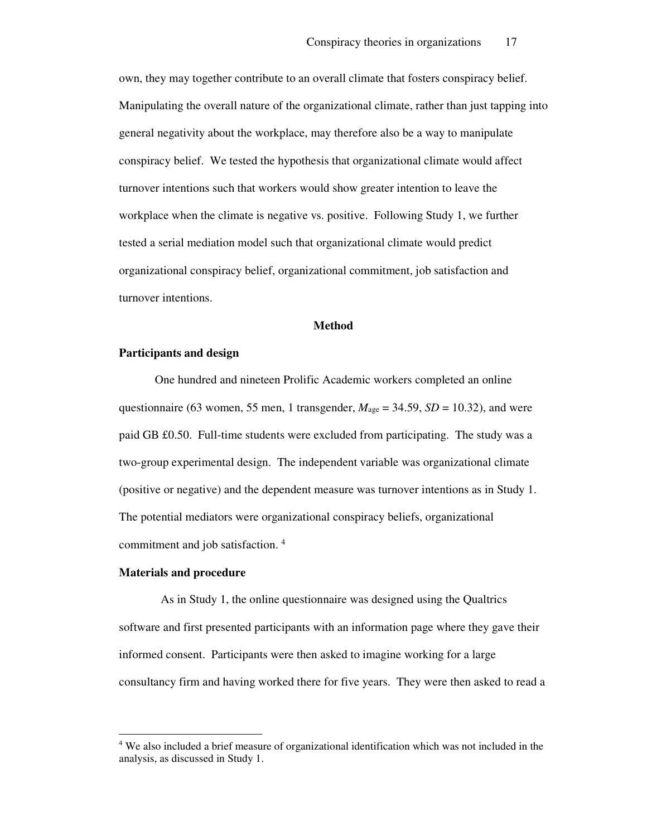own, they may together contribute to an overall climate that fosters conspiracy belief. Manipulating the overall nature of the organizational climate, rather than just tapping into general negativity about the workplace, may therefore also be a way to manipulate conspiracy belief. We tested the hypothesis that organizational climate would affect turnover intentions such that workers would show greater intention to leave the workplace when the climate is negative vs. positive. Following Study 1, we further tested a serial mediation model such that organizational climate would predict organizational conspiracy belief, organizational commitment, job satisfaction and turnover intentions.

#### **Method**

#### **Participants and design**

One hundred and nineteen Prolific Academic workers completed an online questionnaire (63 women, 55 men, 1 transgender,  $M_{\text{age}} = 34.59$ ,  $SD = 10.32$ ), and were paid GB £0.50. Full-time students were excluded from participating. The study was a two-group experimental design. The independent variable was organizational climate (positive or negative) and the dependent measure was turnover intentions as in Study 1. The potential mediators were organizational conspiracy beliefs, organizational commitment and job satisfaction.<sup>4</sup>

#### **Materials and procedure**

 $\overline{a}$ 

 As in Study 1, the online questionnaire was designed using the Qualtrics software and first presented participants with an information page where they gave their informed consent. Participants were then asked to imagine working for a large consultancy firm and having worked there for five years. They were then asked to read a

<sup>&</sup>lt;sup>4</sup> We also included a brief measure of organizational identification which was not included in the analysis, as discussed in Study 1.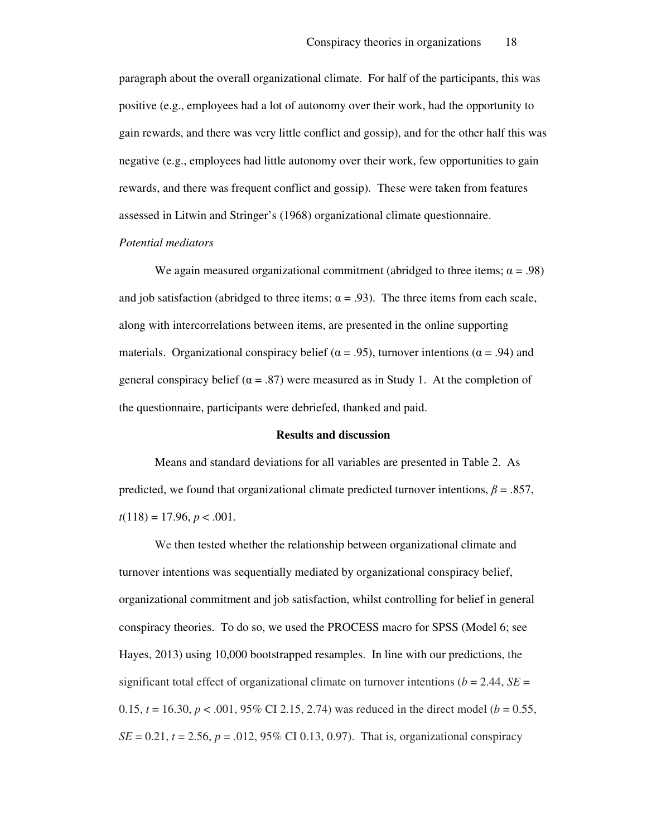paragraph about the overall organizational climate. For half of the participants, this was positive (e.g., employees had a lot of autonomy over their work, had the opportunity to gain rewards, and there was very little conflict and gossip), and for the other half this was negative (e.g., employees had little autonomy over their work, few opportunities to gain rewards, and there was frequent conflict and gossip). These were taken from features assessed in Litwin and Stringer's (1968) organizational climate questionnaire.

#### *Potential mediators*

We again measured organizational commitment (abridged to three items;  $\alpha = .98$ ) and job satisfaction (abridged to three items;  $\alpha = .93$ ). The three items from each scale, along with intercorrelations between items, are presented in the online supporting materials. Organizational conspiracy belief ( $\alpha$  = .95), turnover intentions ( $\alpha$  = .94) and general conspiracy belief ( $\alpha = .87$ ) were measured as in Study 1. At the completion of the questionnaire, participants were debriefed, thanked and paid.

#### **Results and discussion**

Means and standard deviations for all variables are presented in Table 2. As predicted, we found that organizational climate predicted turnover intentions,  $\beta = .857$ ,  $t(118) = 17.96, p < .001.$ 

We then tested whether the relationship between organizational climate and turnover intentions was sequentially mediated by organizational conspiracy belief, organizational commitment and job satisfaction, whilst controlling for belief in general conspiracy theories. To do so, we used the PROCESS macro for SPSS (Model 6; see Hayes, 2013) using 10,000 bootstrapped resamples. In line with our predictions, the significant total effect of organizational climate on turnover intentions ( $b = 2.44$ ,  $SE =$ 0.15,  $t = 16.30$ ,  $p < .001$ , 95% CI 2.15, 2.74) was reduced in the direct model ( $b = 0.55$ , *SE* = 0.21, *t* = 2.56, *p* = .012, 95% CI 0.13, 0.97). That is, organizational conspiracy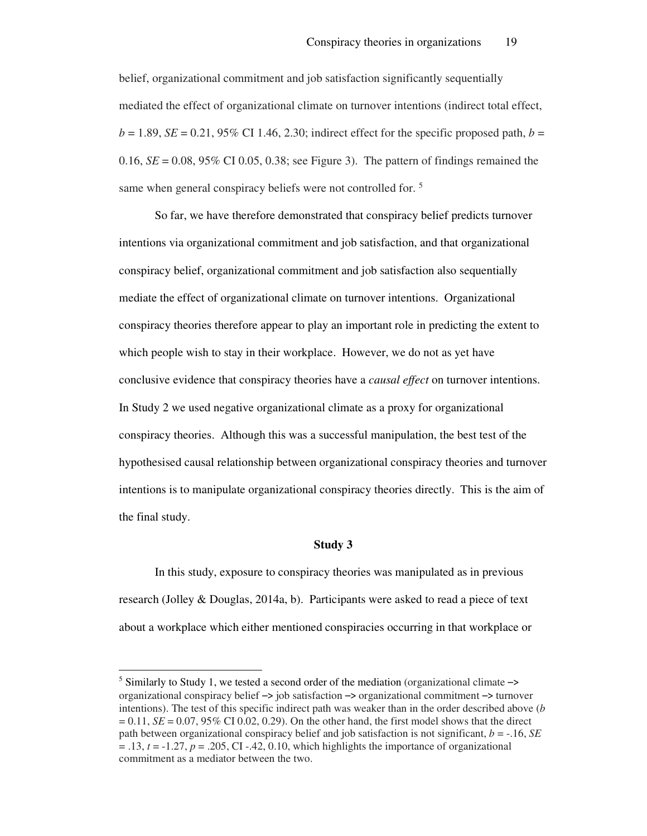belief, organizational commitment and job satisfaction significantly sequentially mediated the effect of organizational climate on turnover intentions (indirect total effect,  $b = 1.89$ , *SE* = 0.21, 95% CI 1.46, 2.30; indirect effect for the specific proposed path,  $b =$ 0.16,  $SE = 0.08$ ,  $95\%$  CI 0.05, 0.38; see Figure 3). The pattern of findings remained the same when general conspiracy beliefs were not controlled for.<sup>5</sup>

So far, we have therefore demonstrated that conspiracy belief predicts turnover intentions via organizational commitment and job satisfaction, and that organizational conspiracy belief, organizational commitment and job satisfaction also sequentially mediate the effect of organizational climate on turnover intentions. Organizational conspiracy theories therefore appear to play an important role in predicting the extent to which people wish to stay in their workplace. However, we do not as yet have conclusive evidence that conspiracy theories have a *causal effect* on turnover intentions. In Study 2 we used negative organizational climate as a proxy for organizational conspiracy theories. Although this was a successful manipulation, the best test of the hypothesised causal relationship between organizational conspiracy theories and turnover intentions is to manipulate organizational conspiracy theories directly. This is the aim of the final study.

#### **Study 3**

In this study, exposure to conspiracy theories was manipulated as in previous research (Jolley & Douglas, 2014a, b). Participants were asked to read a piece of text about a workplace which either mentioned conspiracies occurring in that workplace or

 $\overline{a}$ 

 $5$  Similarly to Study 1, we tested a second order of the mediation (organizational climate  $\rightarrow$ organizational conspiracy belief –> job satisfaction –> organizational commitment –> turnover intentions). The test of this specific indirect path was weaker than in the order described above (*b*  $= 0.11$ ,  $SE = 0.07$ , 95% CI 0.02, 0.29). On the other hand, the first model shows that the direct path between organizational conspiracy belief and job satisfaction is not significant, *b* = -.16, *SE*  $t = .13$ ,  $t = -1.27$ ,  $p = .205$ , CI  $-42$ , 0.10, which highlights the importance of organizational commitment as a mediator between the two.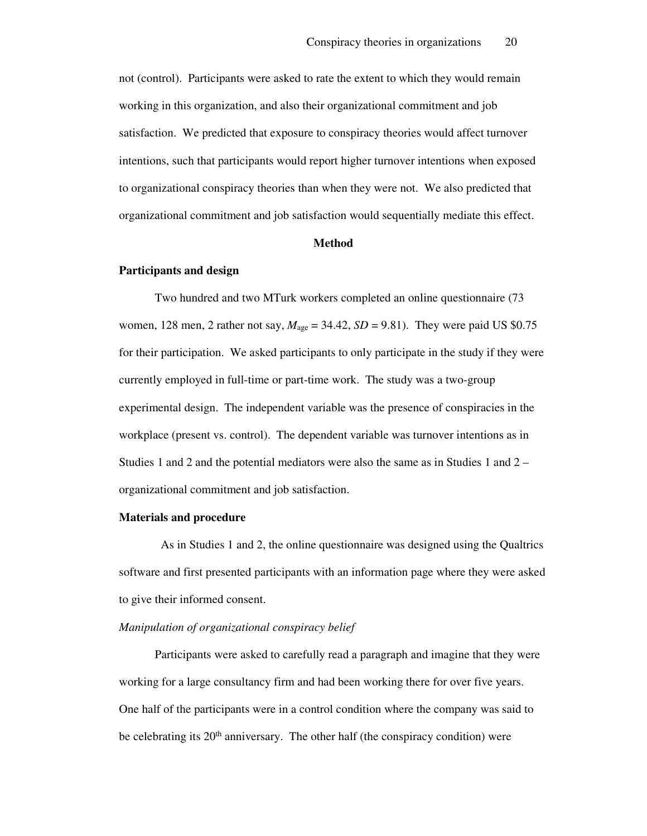not (control). Participants were asked to rate the extent to which they would remain working in this organization, and also their organizational commitment and job satisfaction. We predicted that exposure to conspiracy theories would affect turnover intentions, such that participants would report higher turnover intentions when exposed to organizational conspiracy theories than when they were not. We also predicted that organizational commitment and job satisfaction would sequentially mediate this effect.

#### **Method**

#### **Participants and design**

Two hundred and two MTurk workers completed an online questionnaire (73 women, 128 men, 2 rather not say,  $M_{\text{age}} = 34.42$ ,  $SD = 9.81$ ). They were paid US \$0.75 for their participation. We asked participants to only participate in the study if they were currently employed in full-time or part-time work. The study was a two-group experimental design. The independent variable was the presence of conspiracies in the workplace (present vs. control). The dependent variable was turnover intentions as in Studies 1 and 2 and the potential mediators were also the same as in Studies 1 and 2 – organizational commitment and job satisfaction.

#### **Materials and procedure**

 As in Studies 1 and 2, the online questionnaire was designed using the Qualtrics software and first presented participants with an information page where they were asked to give their informed consent.

#### *Manipulation of organizational conspiracy belief*

Participants were asked to carefully read a paragraph and imagine that they were working for a large consultancy firm and had been working there for over five years. One half of the participants were in a control condition where the company was said to be celebrating its  $20<sup>th</sup>$  anniversary. The other half (the conspiracy condition) were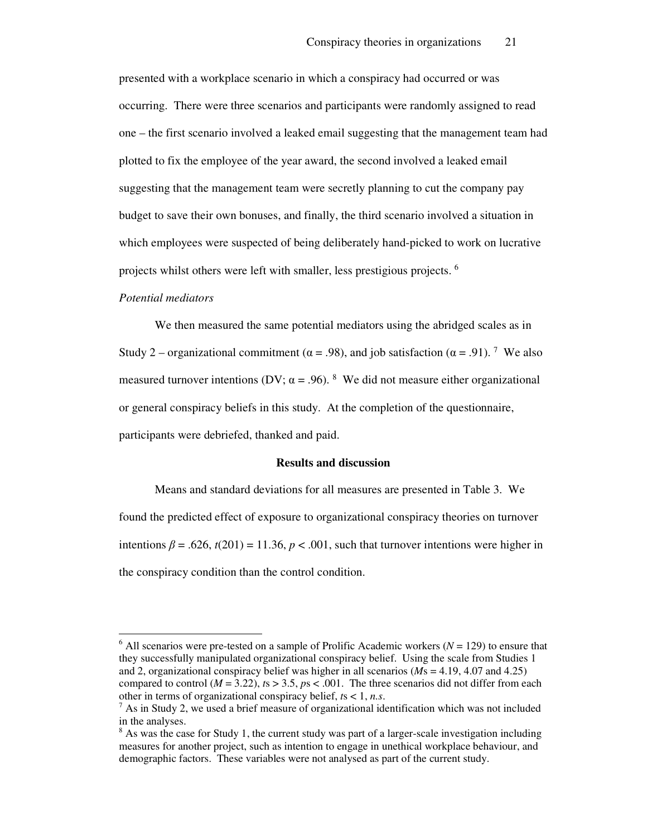presented with a workplace scenario in which a conspiracy had occurred or was occurring. There were three scenarios and participants were randomly assigned to read one – the first scenario involved a leaked email suggesting that the management team had plotted to fix the employee of the year award, the second involved a leaked email suggesting that the management team were secretly planning to cut the company pay budget to save their own bonuses, and finally, the third scenario involved a situation in which employees were suspected of being deliberately hand-picked to work on lucrative projects whilst others were left with smaller, less prestigious projects. <sup>6</sup>

#### *Potential mediators*

 $\overline{a}$ 

We then measured the same potential mediators using the abridged scales as in Study 2 – organizational commitment ( $\alpha$  = .98), and job satisfaction ( $\alpha$  = .91).<sup>7</sup> We also measured turnover intentions (DV;  $\alpha$  = .96). <sup>8</sup> We did not measure either organizational or general conspiracy beliefs in this study. At the completion of the questionnaire, participants were debriefed, thanked and paid.

#### **Results and discussion**

Means and standard deviations for all measures are presented in Table 3. We found the predicted effect of exposure to organizational conspiracy theories on turnover intentions  $\beta$  = .626,  $t(201)$  = 11.36,  $p < .001$ , such that turnover intentions were higher in the conspiracy condition than the control condition.

 $6$  All scenarios were pre-tested on a sample of Prolific Academic workers ( $N = 129$ ) to ensure that they successfully manipulated organizational conspiracy belief. Using the scale from Studies 1 and 2, organizational conspiracy belief was higher in all scenarios (*M*s = 4.19, 4.07 and 4.25) compared to control ( $M = 3.22$ ),  $ts > 3.5$ ,  $ps < .001$ . The three scenarios did not differ from each other in terms of organizational conspiracy belief, *t*s < 1, *n.s*.

 $7$  As in Study 2, we used a brief measure of organizational identification which was not included in the analyses.

<sup>&</sup>lt;sup>8</sup> As was the case for Study 1, the current study was part of a larger-scale investigation including measures for another project, such as intention to engage in unethical workplace behaviour, and demographic factors. These variables were not analysed as part of the current study.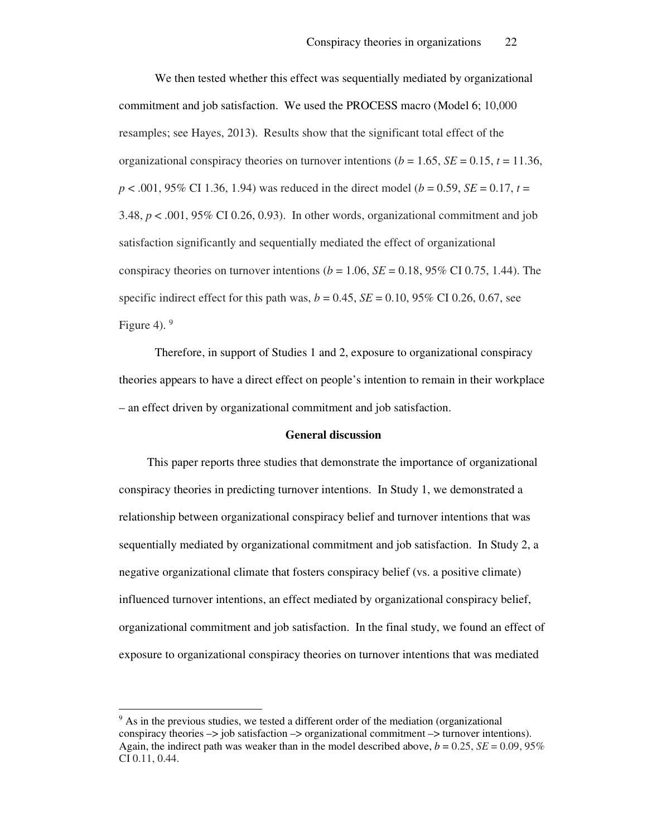We then tested whether this effect was sequentially mediated by organizational commitment and job satisfaction. We used the PROCESS macro (Model 6; 10,000 resamples; see Hayes, 2013). Results show that the significant total effect of the organizational conspiracy theories on turnover intentions ( $b = 1.65$ ,  $SE = 0.15$ ,  $t = 11.36$ , *p* < .001, 95% CI 1.36, 1.94) was reduced in the direct model (*b* = 0.59, *SE* = 0.17, *t* = 3.48,  $p < .001$ , 95% CI 0.26, 0.93). In other words, organizational commitment and job satisfaction significantly and sequentially mediated the effect of organizational conspiracy theories on turnover intentions ( $b = 1.06$ ,  $SE = 0.18$ , 95% CI 0.75, 1.44). The specific indirect effect for this path was,  $b = 0.45$ ,  $SE = 0.10$ , 95% CI 0.26, 0.67, see Figure 4).  $9$ 

Therefore, in support of Studies 1 and 2, exposure to organizational conspiracy theories appears to have a direct effect on people's intention to remain in their workplace – an effect driven by organizational commitment and job satisfaction.

#### **General discussion**

This paper reports three studies that demonstrate the importance of organizational conspiracy theories in predicting turnover intentions. In Study 1, we demonstrated a relationship between organizational conspiracy belief and turnover intentions that was sequentially mediated by organizational commitment and job satisfaction. In Study 2, a negative organizational climate that fosters conspiracy belief (vs. a positive climate) influenced turnover intentions, an effect mediated by organizational conspiracy belief, organizational commitment and job satisfaction. In the final study, we found an effect of exposure to organizational conspiracy theories on turnover intentions that was mediated

 $\overline{a}$ 

<sup>&</sup>lt;sup>9</sup> As in the previous studies, we tested a different order of the mediation (organizational conspiracy theories –> job satisfaction –> organizational commitment –> turnover intentions). Again, the indirect path was weaker than in the model described above,  $b = 0.25$ ,  $SE = 0.09$ , 95% CI 0.11, 0.44.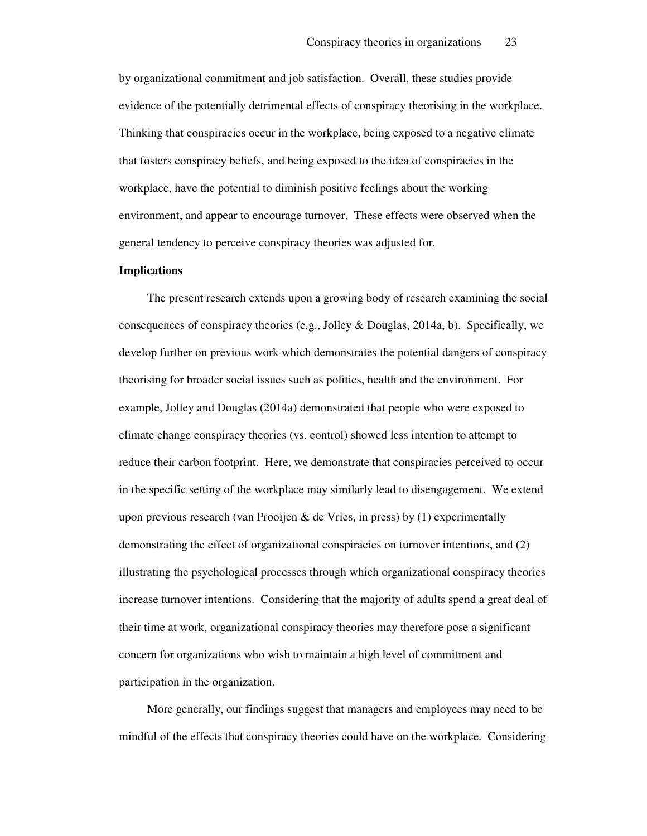by organizational commitment and job satisfaction. Overall, these studies provide evidence of the potentially detrimental effects of conspiracy theorising in the workplace. Thinking that conspiracies occur in the workplace, being exposed to a negative climate that fosters conspiracy beliefs, and being exposed to the idea of conspiracies in the workplace, have the potential to diminish positive feelings about the working environment, and appear to encourage turnover. These effects were observed when the general tendency to perceive conspiracy theories was adjusted for.

#### **Implications**

The present research extends upon a growing body of research examining the social consequences of conspiracy theories (e.g., Jolley & Douglas, 2014a, b). Specifically, we develop further on previous work which demonstrates the potential dangers of conspiracy theorising for broader social issues such as politics, health and the environment. For example, Jolley and Douglas (2014a) demonstrated that people who were exposed to climate change conspiracy theories (vs. control) showed less intention to attempt to reduce their carbon footprint. Here, we demonstrate that conspiracies perceived to occur in the specific setting of the workplace may similarly lead to disengagement. We extend upon previous research (van Prooijen & de Vries, in press) by  $(1)$  experimentally demonstrating the effect of organizational conspiracies on turnover intentions, and (2) illustrating the psychological processes through which organizational conspiracy theories increase turnover intentions. Considering that the majority of adults spend a great deal of their time at work, organizational conspiracy theories may therefore pose a significant concern for organizations who wish to maintain a high level of commitment and participation in the organization.

More generally, our findings suggest that managers and employees may need to be mindful of the effects that conspiracy theories could have on the workplace. Considering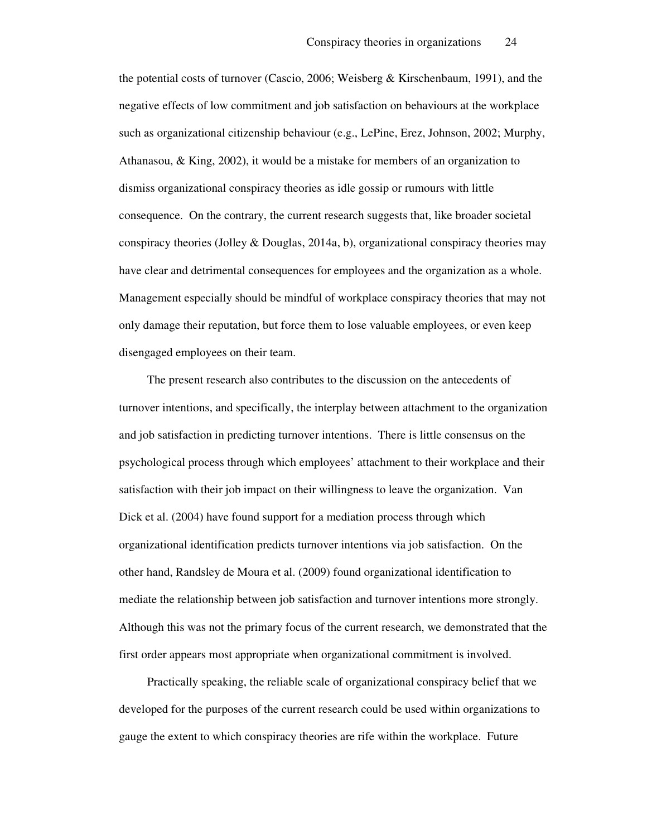the potential costs of turnover (Cascio, 2006; Weisberg & Kirschenbaum, 1991), and the negative effects of low commitment and job satisfaction on behaviours at the workplace such as organizational citizenship behaviour (e.g., LePine, Erez, Johnson, 2002; Murphy, Athanasou, & King, 2002), it would be a mistake for members of an organization to dismiss organizational conspiracy theories as idle gossip or rumours with little consequence. On the contrary, the current research suggests that, like broader societal conspiracy theories (Jolley & Douglas, 2014a, b), organizational conspiracy theories may have clear and detrimental consequences for employees and the organization as a whole. Management especially should be mindful of workplace conspiracy theories that may not only damage their reputation, but force them to lose valuable employees, or even keep disengaged employees on their team.

The present research also contributes to the discussion on the antecedents of turnover intentions, and specifically, the interplay between attachment to the organization and job satisfaction in predicting turnover intentions. There is little consensus on the psychological process through which employees' attachment to their workplace and their satisfaction with their job impact on their willingness to leave the organization. Van Dick et al. (2004) have found support for a mediation process through which organizational identification predicts turnover intentions via job satisfaction. On the other hand, Randsley de Moura et al. (2009) found organizational identification to mediate the relationship between job satisfaction and turnover intentions more strongly. Although this was not the primary focus of the current research, we demonstrated that the first order appears most appropriate when organizational commitment is involved.

Practically speaking, the reliable scale of organizational conspiracy belief that we developed for the purposes of the current research could be used within organizations to gauge the extent to which conspiracy theories are rife within the workplace. Future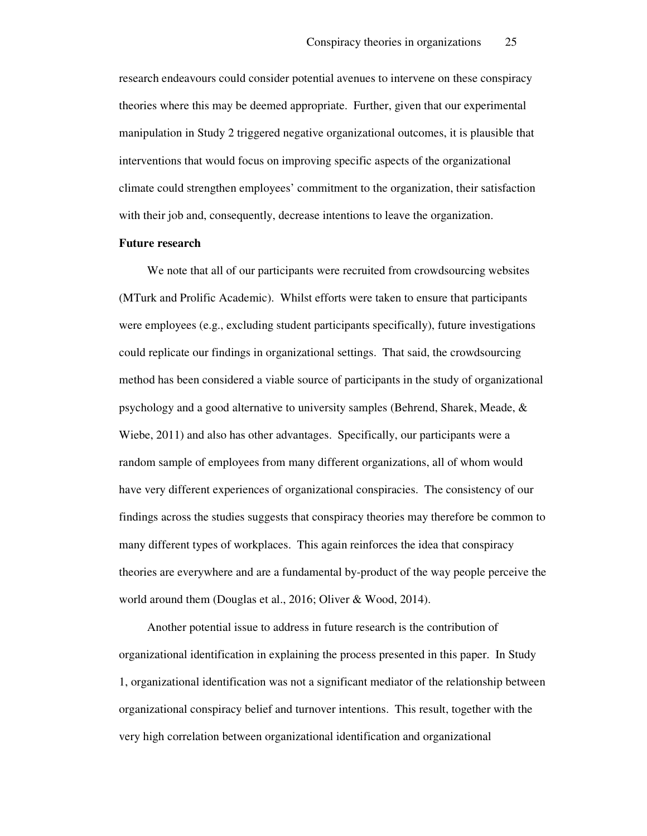research endeavours could consider potential avenues to intervene on these conspiracy theories where this may be deemed appropriate. Further, given that our experimental manipulation in Study 2 triggered negative organizational outcomes, it is plausible that interventions that would focus on improving specific aspects of the organizational climate could strengthen employees' commitment to the organization, their satisfaction with their job and, consequently, decrease intentions to leave the organization.

#### **Future research**

We note that all of our participants were recruited from crowdsourcing websites (MTurk and Prolific Academic). Whilst efforts were taken to ensure that participants were employees (e.g., excluding student participants specifically), future investigations could replicate our findings in organizational settings. That said, the crowdsourcing method has been considered a viable source of participants in the study of organizational psychology and a good alternative to university samples (Behrend, Sharek, Meade, & Wiebe, 2011) and also has other advantages. Specifically, our participants were a random sample of employees from many different organizations, all of whom would have very different experiences of organizational conspiracies. The consistency of our findings across the studies suggests that conspiracy theories may therefore be common to many different types of workplaces. This again reinforces the idea that conspiracy theories are everywhere and are a fundamental by-product of the way people perceive the world around them (Douglas et al., 2016; Oliver & Wood, 2014).

Another potential issue to address in future research is the contribution of organizational identification in explaining the process presented in this paper. In Study 1, organizational identification was not a significant mediator of the relationship between organizational conspiracy belief and turnover intentions. This result, together with the very high correlation between organizational identification and organizational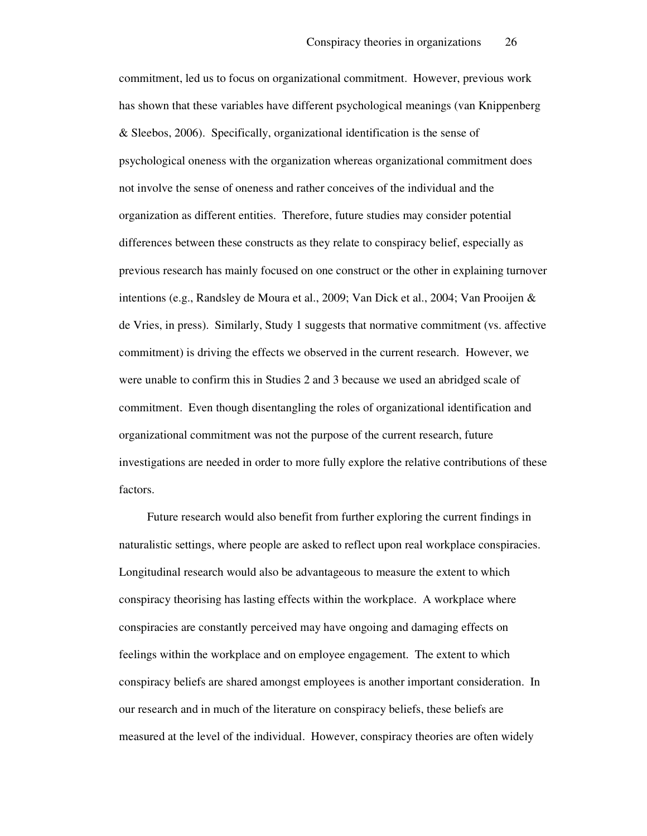commitment, led us to focus on organizational commitment. However, previous work has shown that these variables have different psychological meanings (van Knippenberg & Sleebos, 2006). Specifically, organizational identification is the sense of psychological oneness with the organization whereas organizational commitment does not involve the sense of oneness and rather conceives of the individual and the organization as different entities. Therefore, future studies may consider potential differences between these constructs as they relate to conspiracy belief, especially as previous research has mainly focused on one construct or the other in explaining turnover intentions (e.g., Randsley de Moura et al., 2009; Van Dick et al., 2004; Van Prooijen & de Vries, in press). Similarly, Study 1 suggests that normative commitment (vs. affective commitment) is driving the effects we observed in the current research. However, we were unable to confirm this in Studies 2 and 3 because we used an abridged scale of commitment. Even though disentangling the roles of organizational identification and organizational commitment was not the purpose of the current research, future investigations are needed in order to more fully explore the relative contributions of these factors.

Future research would also benefit from further exploring the current findings in naturalistic settings, where people are asked to reflect upon real workplace conspiracies. Longitudinal research would also be advantageous to measure the extent to which conspiracy theorising has lasting effects within the workplace. A workplace where conspiracies are constantly perceived may have ongoing and damaging effects on feelings within the workplace and on employee engagement. The extent to which conspiracy beliefs are shared amongst employees is another important consideration. In our research and in much of the literature on conspiracy beliefs, these beliefs are measured at the level of the individual. However, conspiracy theories are often widely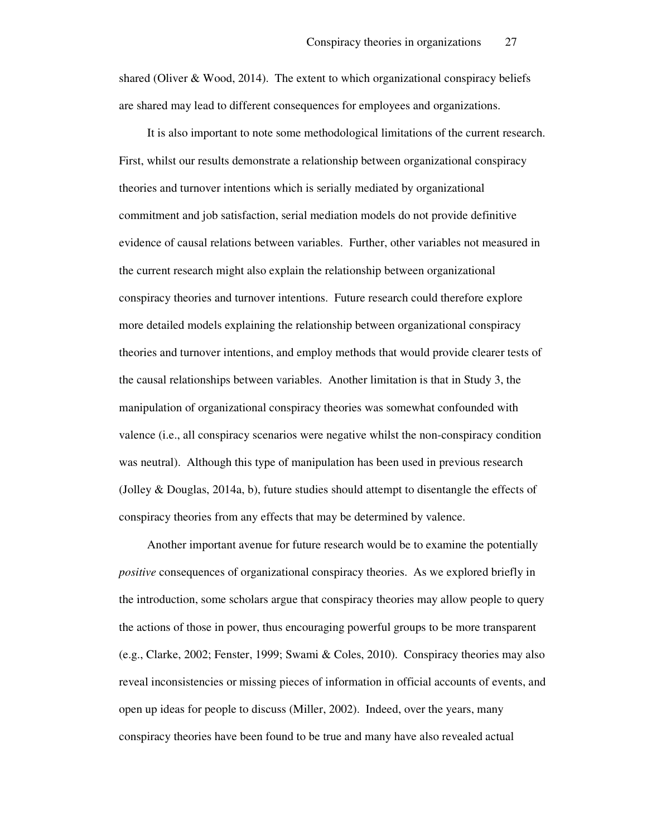shared (Oliver  $& Wood, 2014$ ). The extent to which organizational conspiracy beliefs are shared may lead to different consequences for employees and organizations.

It is also important to note some methodological limitations of the current research. First, whilst our results demonstrate a relationship between organizational conspiracy theories and turnover intentions which is serially mediated by organizational commitment and job satisfaction, serial mediation models do not provide definitive evidence of causal relations between variables. Further, other variables not measured in the current research might also explain the relationship between organizational conspiracy theories and turnover intentions. Future research could therefore explore more detailed models explaining the relationship between organizational conspiracy theories and turnover intentions, and employ methods that would provide clearer tests of the causal relationships between variables. Another limitation is that in Study 3, the manipulation of organizational conspiracy theories was somewhat confounded with valence (i.e., all conspiracy scenarios were negative whilst the non-conspiracy condition was neutral). Although this type of manipulation has been used in previous research (Jolley & Douglas, 2014a, b), future studies should attempt to disentangle the effects of conspiracy theories from any effects that may be determined by valence.

Another important avenue for future research would be to examine the potentially *positive* consequences of organizational conspiracy theories. As we explored briefly in the introduction, some scholars argue that conspiracy theories may allow people to query the actions of those in power, thus encouraging powerful groups to be more transparent (e.g., Clarke, 2002; Fenster, 1999; Swami & Coles, 2010). Conspiracy theories may also reveal inconsistencies or missing pieces of information in official accounts of events, and open up ideas for people to discuss (Miller, 2002). Indeed, over the years, many conspiracy theories have been found to be true and many have also revealed actual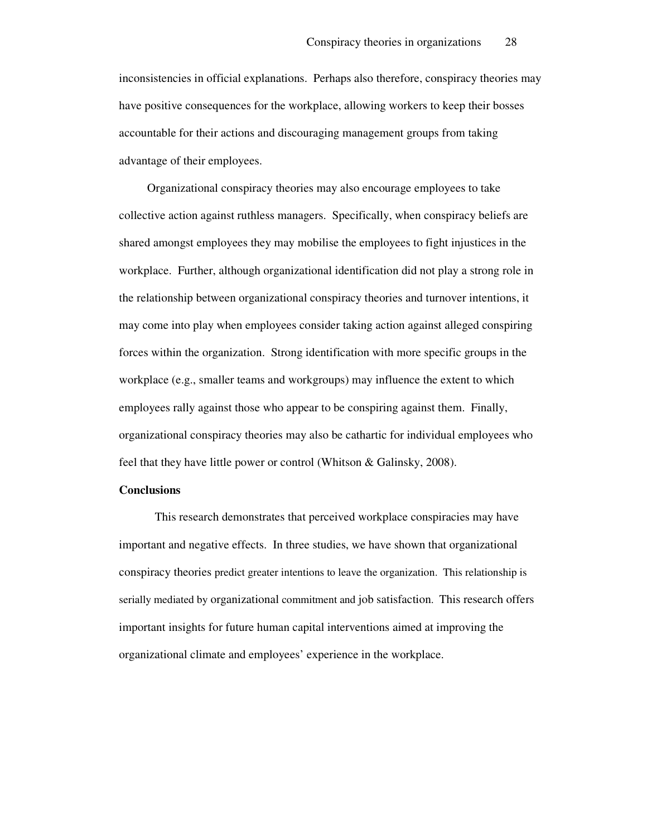inconsistencies in official explanations. Perhaps also therefore, conspiracy theories may have positive consequences for the workplace, allowing workers to keep their bosses accountable for their actions and discouraging management groups from taking advantage of their employees.

Organizational conspiracy theories may also encourage employees to take collective action against ruthless managers. Specifically, when conspiracy beliefs are shared amongst employees they may mobilise the employees to fight injustices in the workplace. Further, although organizational identification did not play a strong role in the relationship between organizational conspiracy theories and turnover intentions, it may come into play when employees consider taking action against alleged conspiring forces within the organization. Strong identification with more specific groups in the workplace (e.g., smaller teams and workgroups) may influence the extent to which employees rally against those who appear to be conspiring against them. Finally, organizational conspiracy theories may also be cathartic for individual employees who feel that they have little power or control (Whitson & Galinsky, 2008).

#### **Conclusions**

This research demonstrates that perceived workplace conspiracies may have important and negative effects. In three studies, we have shown that organizational conspiracy theories predict greater intentions to leave the organization. This relationship is serially mediated by organizational commitment and job satisfaction. This research offers important insights for future human capital interventions aimed at improving the organizational climate and employees' experience in the workplace.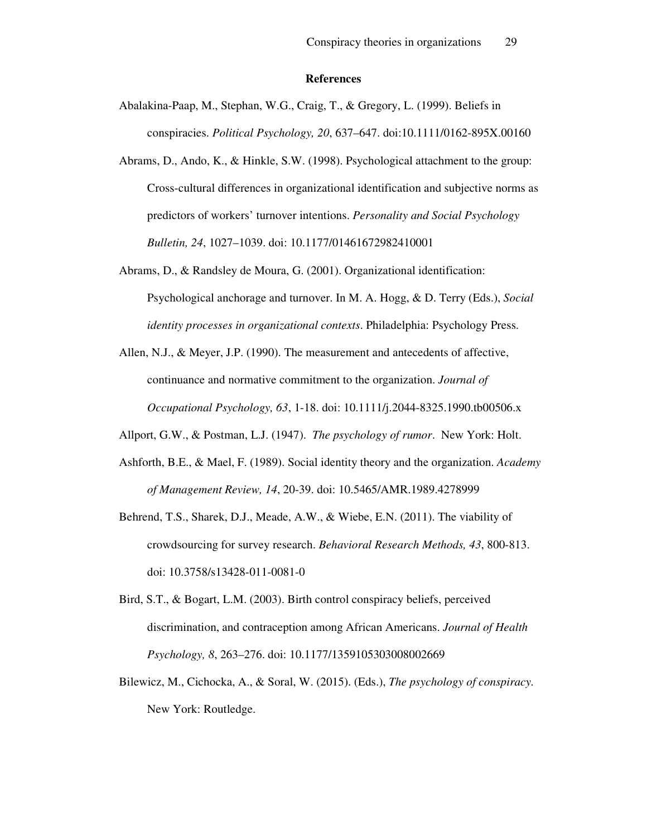#### **References**

- Abalakina-Paap, M., Stephan, W.G., Craig, T., & Gregory, L. (1999). Beliefs in conspiracies. *Political Psychology, 20*, 637–647. doi:10.1111/0162-895X.00160
- Abrams, D., Ando, K., & Hinkle, S.W. (1998). Psychological attachment to the group: Cross-cultural differences in organizational identification and subjective norms as predictors of workers' turnover intentions. *Personality and Social Psychology Bulletin, 24*, 1027–1039. doi: 10.1177/01461672982410001
- Abrams, D., & Randsley de Moura, G. (2001). Organizational identification: Psychological anchorage and turnover. In M. A. Hogg, & D. Terry (Eds.), *Social identity processes in organizational contexts*. Philadelphia: Psychology Press.
- Allen, N.J., & Meyer, J.P. (1990). The measurement and antecedents of affective, continuance and normative commitment to the organization. *Journal of Occupational Psychology, 63*, 1-18. doi: 10.1111/j.2044-8325.1990.tb00506.x
- Allport, G.W., & Postman, L.J. (1947). *The psychology of rumor*. New York: Holt.
- Ashforth, B.E., & Mael, F. (1989). Social identity theory and the organization. *Academy of Management Review, 14*, 20-39. doi: 10.5465/AMR.1989.4278999
- Behrend, T.S., Sharek, D.J., Meade, A.W., & Wiebe, E.N. (2011). The viability of crowdsourcing for survey research. *Behavioral Research Methods, 43*, 800-813. doi: 10.3758/s13428-011-0081-0
- Bird, S.T., & Bogart, L.M. (2003). Birth control conspiracy beliefs, perceived discrimination, and contraception among African Americans. *Journal of Health Psychology, 8*, 263–276. doi: 10.1177/1359105303008002669
- Bilewicz, M., Cichocka, A., & Soral, W. (2015). (Eds.), *The psychology of conspiracy.*  New York: Routledge.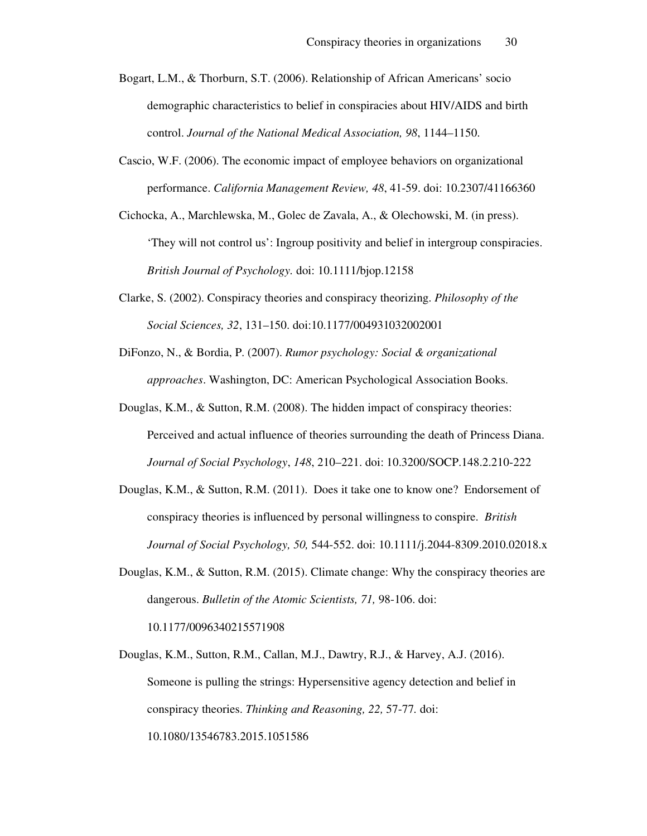- Bogart, L.M., & Thorburn, S.T. (2006). Relationship of African Americans' socio demographic characteristics to belief in conspiracies about HIV/AIDS and birth control. *Journal of the National Medical Association, 98*, 1144–1150.
- Cascio, W.F. (2006). The economic impact of employee behaviors on organizational performance. *California Management Review, 48*, 41-59. doi: 10.2307/41166360
- Cichocka, A., Marchlewska, M., Golec de Zavala, A., & Olechowski, M. (in press). 'They will not control us': Ingroup positivity and belief in intergroup conspiracies. *British Journal of Psychology.* doi: 10.1111/bjop.12158
- Clarke, S. (2002). Conspiracy theories and conspiracy theorizing. *Philosophy of the Social Sciences, 32*, 131–150. doi:10.1177/004931032002001
- DiFonzo, N., & Bordia, P. (2007). *Rumor psychology: Social & organizational approaches*. Washington, DC: American Psychological Association Books.
- Douglas, K.M., & Sutton, R.M. (2008). The hidden impact of conspiracy theories: Perceived and actual influence of theories surrounding the death of Princess Diana. *Journal of Social Psychology*, *148*, 210–221. doi: 10.3200/SOCP.148.2.210-222
- Douglas, K.M., & Sutton, R.M. (2011). Does it take one to know one? Endorsement of conspiracy theories is influenced by personal willingness to conspire. *British Journal of Social Psychology, 50,* 544-552. doi: 10.1111/j.2044-8309.2010.02018.x
- Douglas, K.M., & Sutton, R.M. (2015). Climate change: Why the conspiracy theories are dangerous. *Bulletin of the Atomic Scientists, 71,* 98-106. doi:

10.1177/0096340215571908

Douglas, K.M., Sutton, R.M., Callan, M.J., Dawtry, R.J., & Harvey, A.J. (2016). Someone is pulling the strings: Hypersensitive agency detection and belief in conspiracy theories. *Thinking and Reasoning, 22,* 57-77*.* doi: 10.1080/13546783.2015.1051586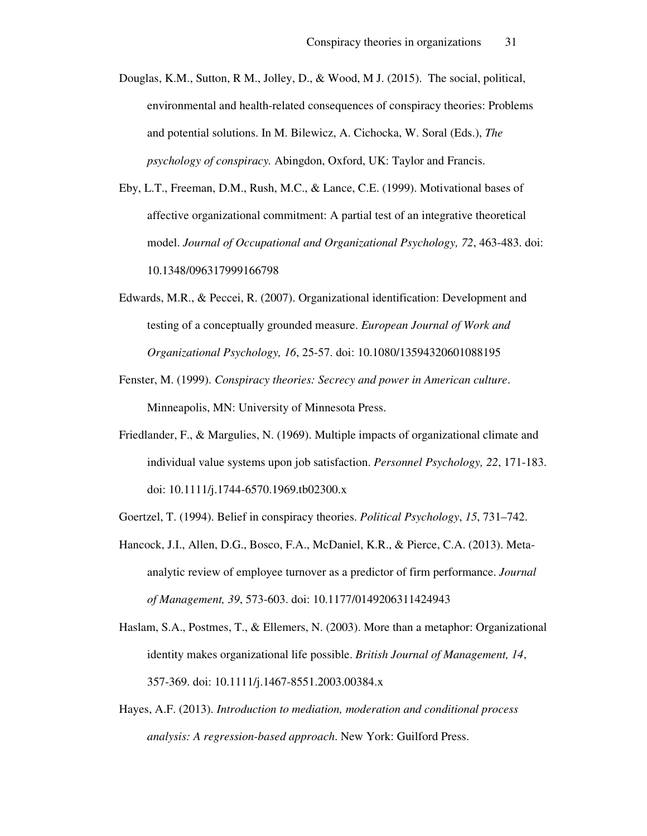- Douglas, K.M., Sutton, R M., Jolley, D., & Wood, M J. (2015). The social, political, environmental and health-related consequences of conspiracy theories: Problems and potential solutions. In M. Bilewicz, A. Cichocka, W. Soral (Eds.), *The psychology of conspiracy.* Abingdon, Oxford, UK: Taylor and Francis.
- Eby, L.T., Freeman, D.M., Rush, M.C., & Lance, C.E. (1999). Motivational bases of affective organizational commitment: A partial test of an integrative theoretical model. *Journal of Occupational and Organizational Psychology, 72*, 463-483. doi: 10.1348/096317999166798
- Edwards, M.R., & Peccei, R. (2007). Organizational identification: Development and testing of a conceptually grounded measure. *European Journal of Work and Organizational Psychology, 16*, 25-57. doi: 10.1080/13594320601088195
- Fenster, M. (1999). *Conspiracy theories: Secrecy and power in American culture*. Minneapolis, MN: University of Minnesota Press.
- Friedlander, F., & Margulies, N. (1969). Multiple impacts of organizational climate and individual value systems upon job satisfaction. *Personnel Psychology, 22*, 171-183. doi: 10.1111/j.1744-6570.1969.tb02300.x
- Goertzel, T. (1994). Belief in conspiracy theories. *Political Psychology*, *15*, 731–742.
- Hancock, J.I., Allen, D.G., Bosco, F.A., McDaniel, K.R., & Pierce, C.A. (2013). Metaanalytic review of employee turnover as a predictor of firm performance. *Journal of Management, 39*, 573-603. doi: 10.1177/0149206311424943
- Haslam, S.A., Postmes, T., & Ellemers, N. (2003). More than a metaphor: Organizational identity makes organizational life possible. *British Journal of Management, 14*, 357-369. doi: 10.1111/j.1467-8551.2003.00384.x
- Hayes, A.F. (2013). *Introduction to mediation, moderation and conditional process analysis: A regression-based approach*. New York: Guilford Press.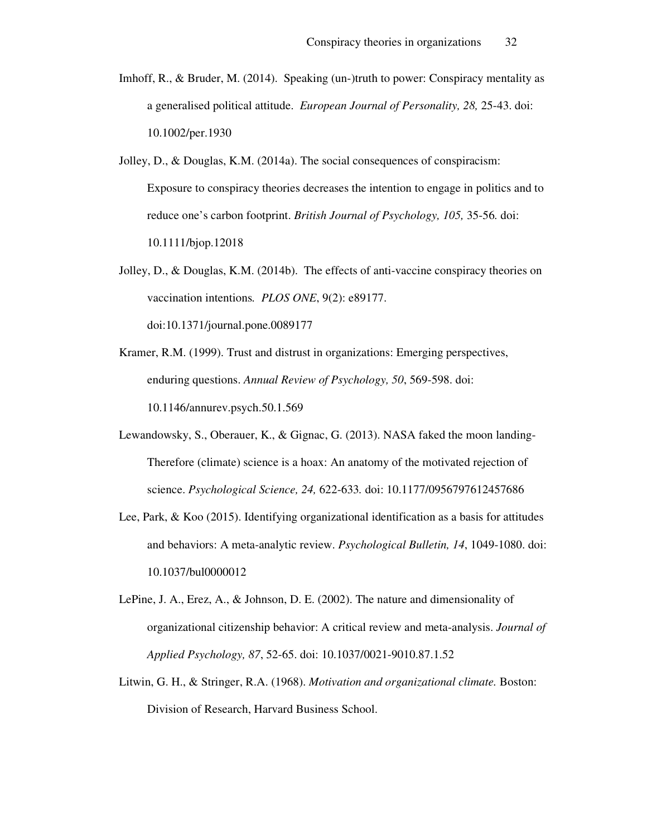- Imhoff, R., & Bruder, M. (2014). Speaking (un-)truth to power: Conspiracy mentality as a generalised political attitude. *European Journal of Personality, 28,* 25-43. doi: 10.1002/per.1930
- Jolley, D., & Douglas, K.M. (2014a). The social consequences of conspiracism: Exposure to conspiracy theories decreases the intention to engage in politics and to reduce one's carbon footprint. *British Journal of Psychology, 105,* 35-56*.* doi: 10.1111/bjop.12018
- Jolley, D., & Douglas, K.M. (2014b). The effects of anti-vaccine conspiracy theories on vaccination intentions*. PLOS ONE*, 9(2): e89177. doi:10.1371/journal.pone.0089177
- Kramer, R.M. (1999). Trust and distrust in organizations: Emerging perspectives, enduring questions. *Annual Review of Psychology, 50*, 569-598. doi: 10.1146/annurev.psych.50.1.569
- Lewandowsky, S., Oberauer, K., & Gignac, G. (2013). NASA faked the moon landing-Therefore (climate) science is a hoax: An anatomy of the motivated rejection of science. *Psychological Science, 24,* 622-633*.* doi: 10.1177/0956797612457686
- Lee, Park, & Koo (2015). Identifying organizational identification as a basis for attitudes and behaviors: A meta-analytic review. *Psychological Bulletin, 14*, 1049-1080. doi: 10.1037/bul0000012
- LePine, J. A., Erez, A., & Johnson, D. E. (2002). The nature and dimensionality of organizational citizenship behavior: A critical review and meta-analysis. *Journal of Applied Psychology, 87*, 52-65. doi: 10.1037/0021-9010.87.1.52
- Litwin, G. H., & Stringer, R.A. (1968). *Motivation and organizational climate.* Boston: Division of Research, Harvard Business School.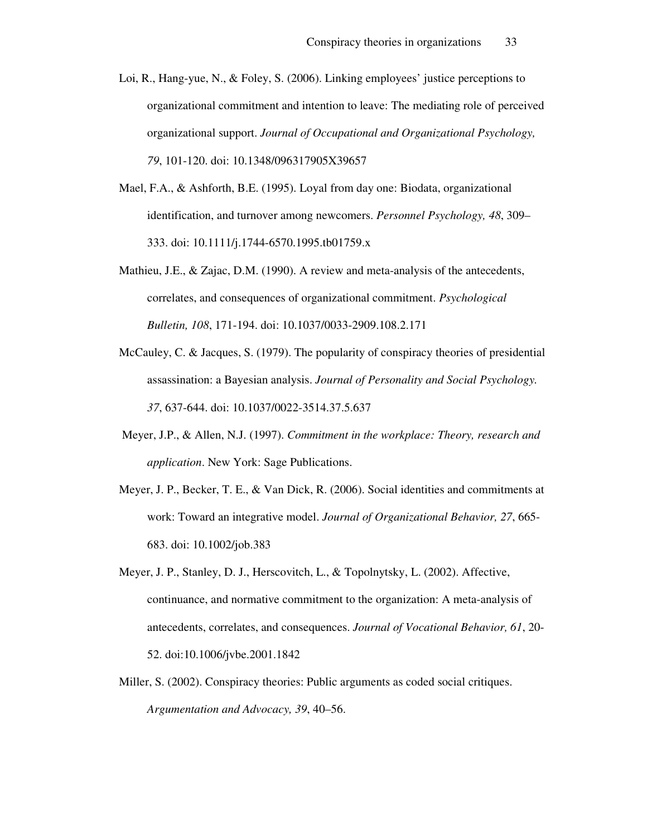- Loi, R., Hang-yue, N., & Foley, S. (2006). Linking employees' justice perceptions to organizational commitment and intention to leave: The mediating role of perceived organizational support. *Journal of Occupational and Organizational Psychology, 79*, 101-120. doi: 10.1348/096317905X39657
- Mael, F.A., & Ashforth, B.E. (1995). Loyal from day one: Biodata, organizational identification, and turnover among newcomers. *Personnel Psychology, 48*, 309– 333. doi: 10.1111/j.1744-6570.1995.tb01759.x
- Mathieu, J.E., & Zajac, D.M. (1990). A review and meta-analysis of the antecedents, correlates, and consequences of organizational commitment. *Psychological Bulletin, 108*, 171-194. doi: 10.1037/0033-2909.108.2.171
- McCauley, C. & Jacques, S. (1979). The popularity of conspiracy theories of presidential assassination: a Bayesian analysis. *Journal of Personality and Social Psychology. 37*, 637-644. doi: 10.1037/0022-3514.37.5.637
- Meyer, J.P., & Allen, N.J. (1997). *Commitment in the workplace: Theory, research and application*. New York: Sage Publications.
- Meyer, J. P., Becker, T. E., & Van Dick, R. (2006). Social identities and commitments at work: Toward an integrative model. *Journal of Organizational Behavior, 27*, 665- 683. doi: 10.1002/job.383
- Meyer, J. P., Stanley, D. J., Herscovitch, L., & Topolnytsky, L. (2002). Affective, continuance, and normative commitment to the organization: A meta-analysis of antecedents, correlates, and consequences. *Journal of Vocational Behavior, 61*, 20- 52. doi:10.1006/jvbe.2001.1842
- Miller, S. (2002). Conspiracy theories: Public arguments as coded social critiques. *Argumentation and Advocacy, 39*, 40–56.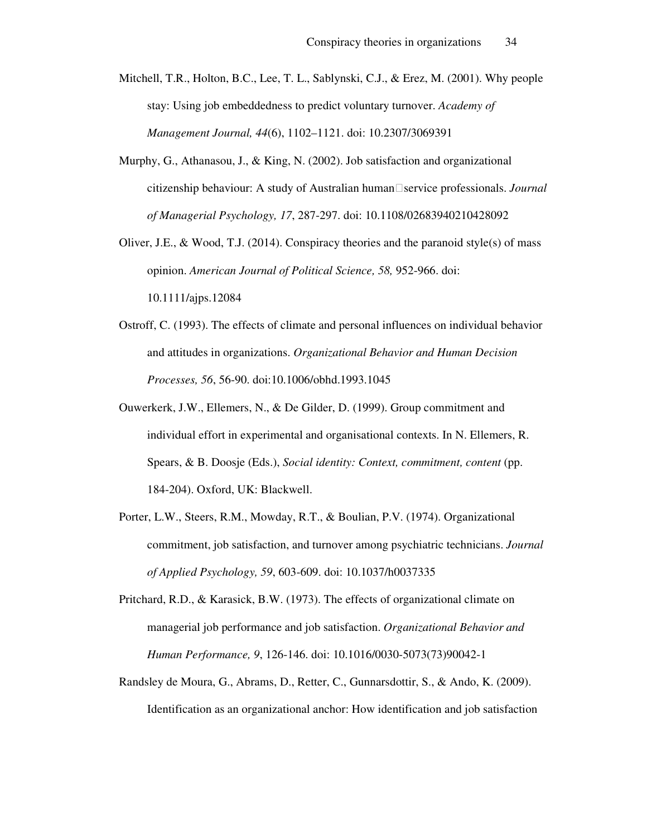Mitchell, T.R., Holton, B.C., Lee, T. L., Sablynski, C.J., & Erez, M. (2001). Why people stay: Using job embeddedness to predict voluntary turnover. *Academy of Management Journal, 44*(6), 1102–1121. doi: 10.2307/3069391

- Murphy, G., Athanasou, J., & King, N. (2002). Job satisfaction and organizational citizenship behaviour: A study of Australian human<sup>
Service professionals. *Journal*</sup> *of Managerial Psychology, 17*, 287-297. doi: 10.1108/02683940210428092
- Oliver, J.E., & Wood, T.J. (2014). Conspiracy theories and the paranoid style(s) of mass opinion. *American Journal of Political Science, 58,* 952-966. doi: 10.1111/ajps.12084
- Ostroff, C. (1993). The effects of climate and personal influences on individual behavior and attitudes in organizations. *Organizational Behavior and Human Decision Processes, 56*, 56-90. doi:10.1006/obhd.1993.1045
- Ouwerkerk, J.W., Ellemers, N., & De Gilder, D. (1999). Group commitment and individual effort in experimental and organisational contexts. In N. Ellemers, R. Spears, & B. Doosje (Eds.), *Social identity: Context, commitment, content* (pp. 184-204). Oxford, UK: Blackwell.
- Porter, L.W., Steers, R.M., Mowday, R.T., & Boulian, P.V. (1974). Organizational commitment, job satisfaction, and turnover among psychiatric technicians. *Journal of Applied Psychology, 59*, 603-609. doi: 10.1037/h0037335
- Pritchard, R.D., & Karasick, B.W. (1973). The effects of organizational climate on managerial job performance and job satisfaction. *Organizational Behavior and Human Performance, 9*, 126-146. doi: 10.1016/0030-5073(73)90042-1
- Randsley de Moura, G., Abrams, D., Retter, C., Gunnarsdottir, S., & Ando, K. (2009). Identification as an organizational anchor: How identification and job satisfaction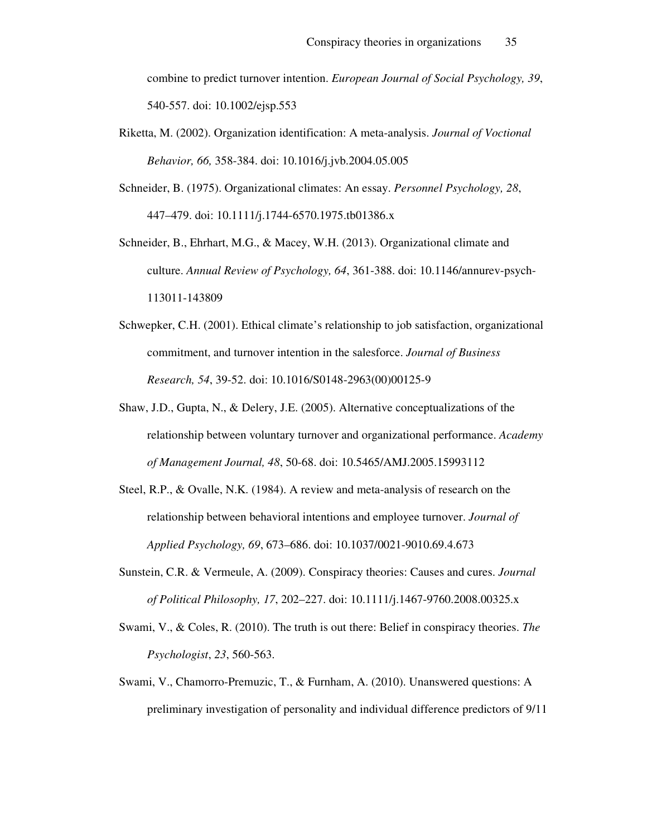combine to predict turnover intention. *European Journal of Social Psychology, 39*, 540-557. doi: 10.1002/ejsp.553

Riketta, M. (2002). Organization identification: A meta-analysis. *Journal of Voctional Behavior, 66,* 358-384. doi: 10.1016/j.jvb.2004.05.005

Schneider, B. (1975). Organizational climates: An essay. *Personnel Psychology, 28*, 447–479. doi: 10.1111/j.1744-6570.1975.tb01386.x

- Schneider, B., Ehrhart, M.G., & Macey, W.H. (2013). Organizational climate and culture. *Annual Review of Psychology, 64*, 361-388. doi: 10.1146/annurev-psych-113011-143809
- Schwepker, C.H. (2001). Ethical climate's relationship to job satisfaction, organizational commitment, and turnover intention in the salesforce. *Journal of Business Research, 54*, 39-52. doi: 10.1016/S0148-2963(00)00125-9
- Shaw, J.D., Gupta, N., & Delery, J.E. (2005). Alternative conceptualizations of the relationship between voluntary turnover and organizational performance. *Academy of Management Journal, 48*, 50-68. doi: 10.5465/AMJ.2005.15993112
- Steel, R.P., & Ovalle, N.K. (1984). A review and meta-analysis of research on the relationship between behavioral intentions and employee turnover. *Journal of Applied Psychology, 69*, 673–686. doi: 10.1037/0021-9010.69.4.673
- Sunstein, C.R. & Vermeule, A. (2009). Conspiracy theories: Causes and cures. *Journal of Political Philosophy, 17*, 202–227. doi: 10.1111/j.1467-9760.2008.00325.x
- Swami, V., & Coles, R. (2010). The truth is out there: Belief in conspiracy theories. *The Psychologist*, *23*, 560-563.
- Swami, V., Chamorro-Premuzic, T., & Furnham, A. (2010). Unanswered questions: A preliminary investigation of personality and individual difference predictors of 9/11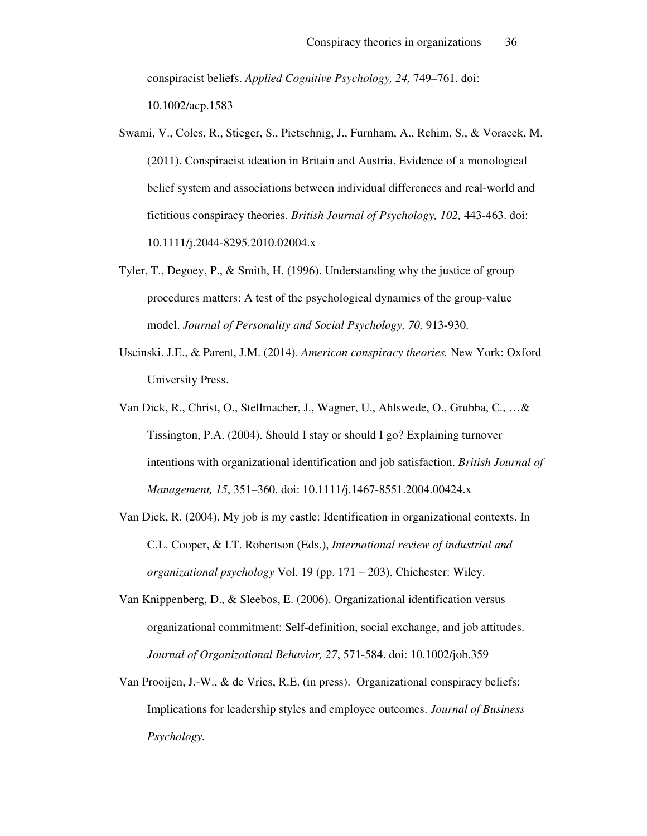conspiracist beliefs. *Applied Cognitive Psychology, 24,* 749–761. doi: 10.1002/acp.1583

Swami, V., Coles, R., Stieger, S., Pietschnig, J., Furnham, A., Rehim, S., & Voracek, M. (2011). Conspiracist ideation in Britain and Austria. Evidence of a monological belief system and associations between individual differences and real-world and fictitious conspiracy theories. *British Journal of Psychology, 102,* 443-463. doi: 10.1111/j.2044-8295.2010.02004.x

- Tyler, T., Degoey, P., & Smith, H. (1996). Understanding why the justice of group procedures matters: A test of the psychological dynamics of the group-value model. *Journal of Personality and Social Psychology, 70,* 913-930.
- Uscinski. J.E., & Parent, J.M. (2014). *American conspiracy theories.* New York: Oxford University Press.
- Van Dick, R., Christ, O., Stellmacher, J., Wagner, U., Ahlswede, O., Grubba, C., …& Tissington, P.A. (2004). Should I stay or should I go? Explaining turnover intentions with organizational identification and job satisfaction. *British Journal of Management, 15*, 351–360. doi: 10.1111/j.1467-8551.2004.00424.x
- Van Dick, R. (2004). My job is my castle: Identification in organizational contexts. In C.L. Cooper, & I.T. Robertson (Eds.), *International review of industrial and organizational psychology* Vol. 19 (pp. 171 – 203). Chichester: Wiley.
- Van Knippenberg, D., & Sleebos, E. (2006). Organizational identification versus organizational commitment: Self-definition, social exchange, and job attitudes. *Journal of Organizational Behavior, 27*, 571-584. doi: 10.1002/job.359
- Van Prooijen, J.-W., & de Vries, R.E. (in press). Organizational conspiracy beliefs: Implications for leadership styles and employee outcomes. *Journal of Business Psychology.*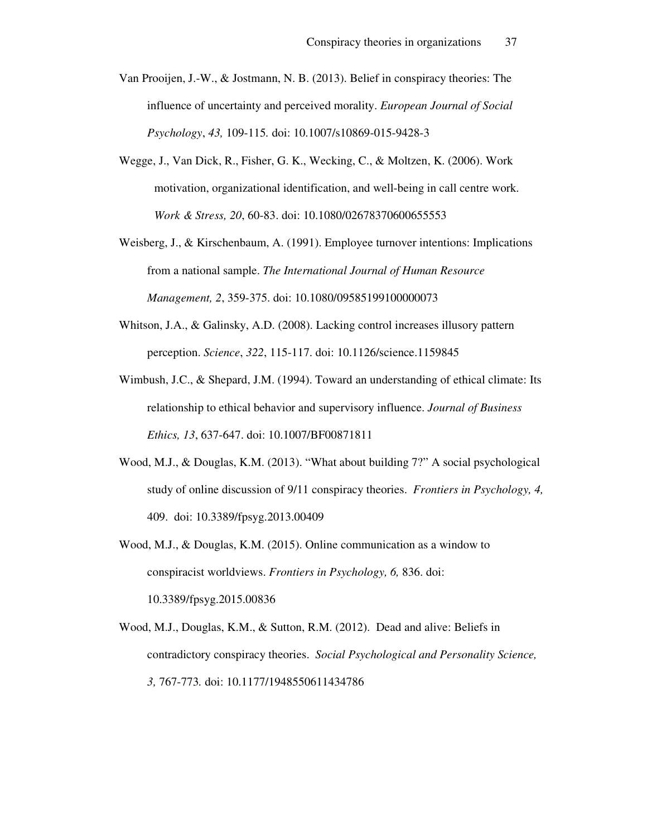- Van Prooijen, J.-W., & Jostmann, N. B. (2013). Belief in conspiracy theories: The influence of uncertainty and perceived morality. *European Journal of Social Psychology*, *43,* 109-115*.* doi: 10.1007/s10869-015-9428-3
- Wegge, J., Van Dick, R., Fisher, G. K., Wecking, C., & Moltzen, K. (2006). Work motivation, organizational identification, and well-being in call centre work. *Work & Stress, 20*, 60-83. doi: 10.1080/02678370600655553
- Weisberg, J., & Kirschenbaum, A. (1991). Employee turnover intentions: Implications from a national sample. *The International Journal of Human Resource Management, 2*, 359-375. doi: 10.1080/09585199100000073
- Whitson, J.A., & Galinsky, A.D. (2008). Lacking control increases illusory pattern perception. *Science*, *322*, 115-117. doi: 10.1126/science.1159845
- Wimbush, J.C., & Shepard, J.M. (1994). Toward an understanding of ethical climate: Its relationship to ethical behavior and supervisory influence. *Journal of Business Ethics, 13*, 637-647. doi: 10.1007/BF00871811
- Wood, M.J., & Douglas, K.M. (2013). "What about building 7?" A social psychological study of online discussion of 9/11 conspiracy theories. *Frontiers in Psychology, 4,*  409. doi: 10.3389/fpsyg.2013.00409
- Wood, M.J., & Douglas, K.M. (2015). Online communication as a window to conspiracist worldviews. *Frontiers in Psychology, 6,* 836. doi: 10.3389/fpsyg.2015.00836
- Wood, M.J., Douglas, K.M., & Sutton, R.M. (2012). Dead and alive: Beliefs in contradictory conspiracy theories. *Social Psychological and Personality Science, 3,* 767-773*.* doi: 10.1177/1948550611434786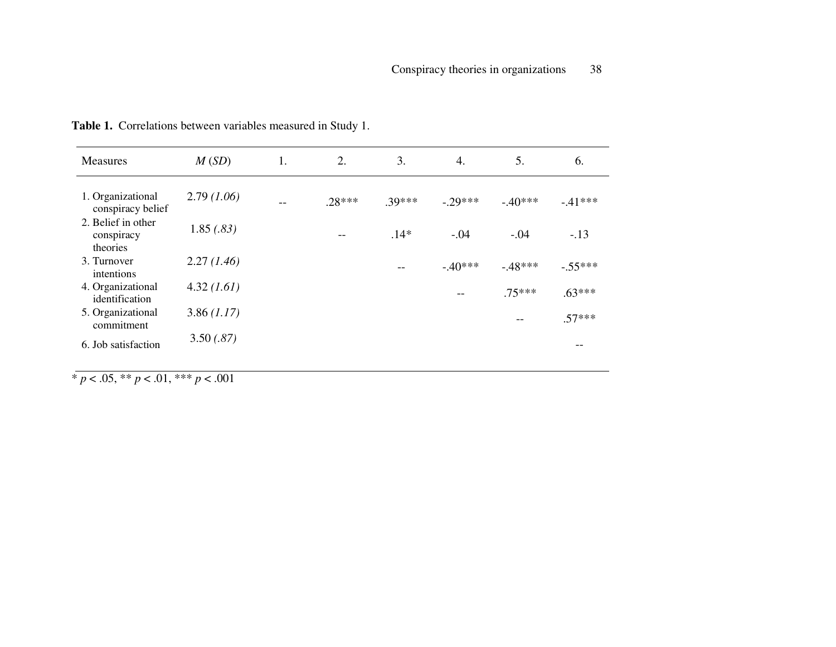| <b>Measures</b>                              | M(SD)       | 1. | 2.       | 3.     | $\overline{4}$ . | 5.       | 6.        |
|----------------------------------------------|-------------|----|----------|--------|------------------|----------|-----------|
| 1. Organizational<br>conspiracy belief       | 2.79(1.06)  | -- | $.28***$ | .39*** | $-29***$         | $-40***$ | $-.41***$ |
| 2. Belief in other<br>conspiracy<br>theories | 1.85(.83)   |    | --       | $.14*$ | $-.04$           | $-.04$   | $-.13$    |
| 3. Turnover<br>intentions                    | 2.27(1.46)  |    |          |        | $-.40***$        | $-48***$ | $-.55***$ |
| 4. Organizational<br>identification          | 4.32 (1.61) |    |          |        |                  | $.75***$ | $.63***$  |
| 5. Organizational<br>commitment              | 3.86(1.17)  |    |          |        |                  |          | $.57***$  |
| 6. Job satisfaction                          | 3.50(.87)   |    |          |        |                  |          |           |

**Table 1.** Correlations between variables measured in Study 1.

\* *p* < .05, \*\* *p* < .01, \*\*\* *p* < .001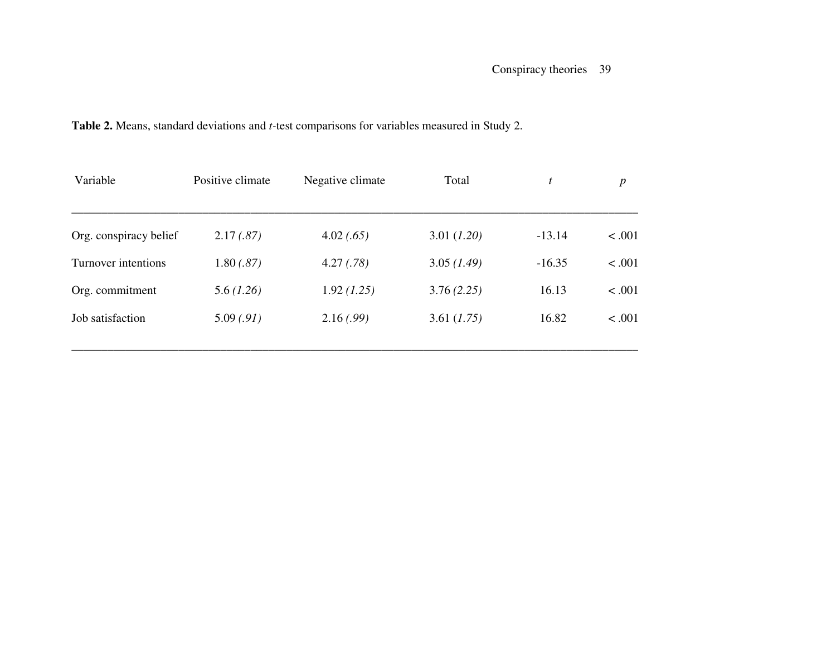| Variable               | Positive climate | Negative climate | Total       | t        | $\boldsymbol{p}$ |
|------------------------|------------------|------------------|-------------|----------|------------------|
| Org. conspiracy belief | 2.17(.87)        | 4.02(.65)        | 3.01 (1.20) | $-13.14$ | < .001           |
| Turnover intentions    | 1.80(.87)        | 4.27(.78)        | 3.05(1.49)  | $-16.35$ | < .001           |
| Org. commitment        | 5.6(1.26)        | 1.92(1.25)       | 3.76(2.25)  | 16.13    | < .001           |
| Job satisfaction       | 5.09(.91)        | 2.16(.99)        | 3.61 (1.75) | 16.82    | < .001           |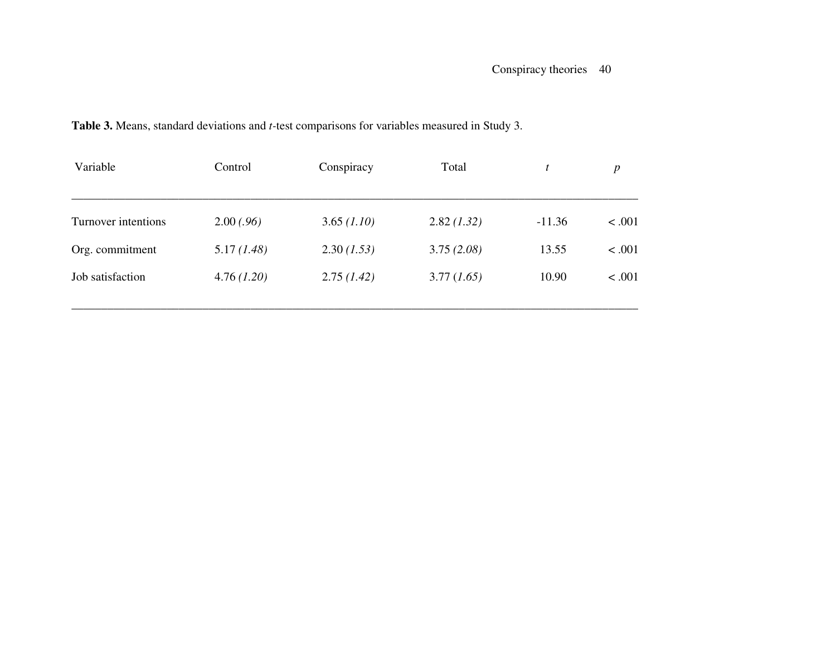| Variable            | Control    | Conspiracy  | Total      | t        | $\boldsymbol{p}$ |
|---------------------|------------|-------------|------------|----------|------------------|
| Turnover intentions | 2.00(.96)  | 3.65 (1.10) | 2.82(1.32) | $-11.36$ | < .001           |
| Org. commitment     | 5.17(1.48) | 2.30(1.53)  | 3.75(2.08) | 13.55    | < .001           |
| Job satisfaction    | 4.76(1.20) | 2.75(1.42)  | 3.77(1.65) | 10.90    | < .001           |

### **Table 3.** Means, standard deviations and *t-*test comparisons for variables measured in Study 3.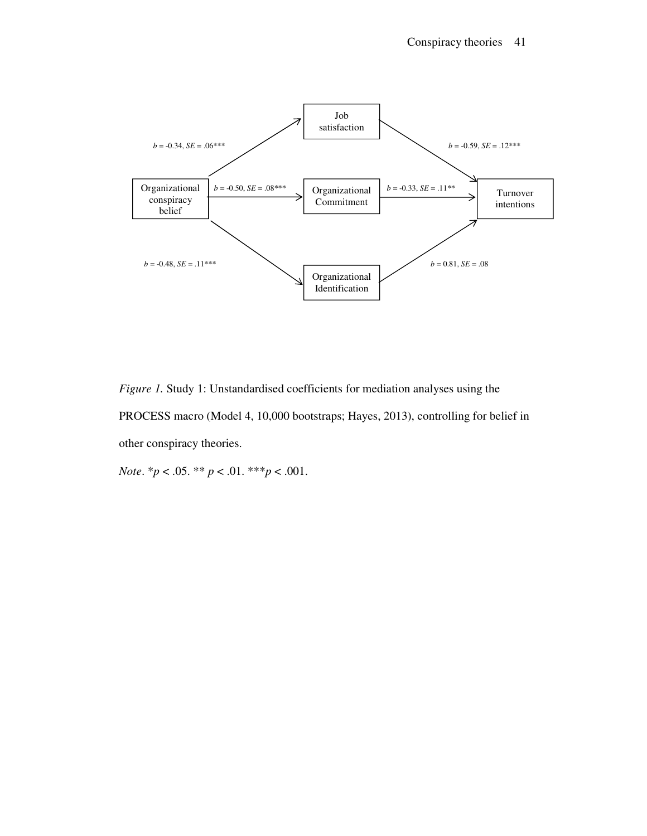

*Figure 1.* Study 1: Unstandardised coefficients for mediation analyses using the PROCESS macro (Model 4, 10,000 bootstraps; Hayes, 2013), controlling for belief in other conspiracy theories.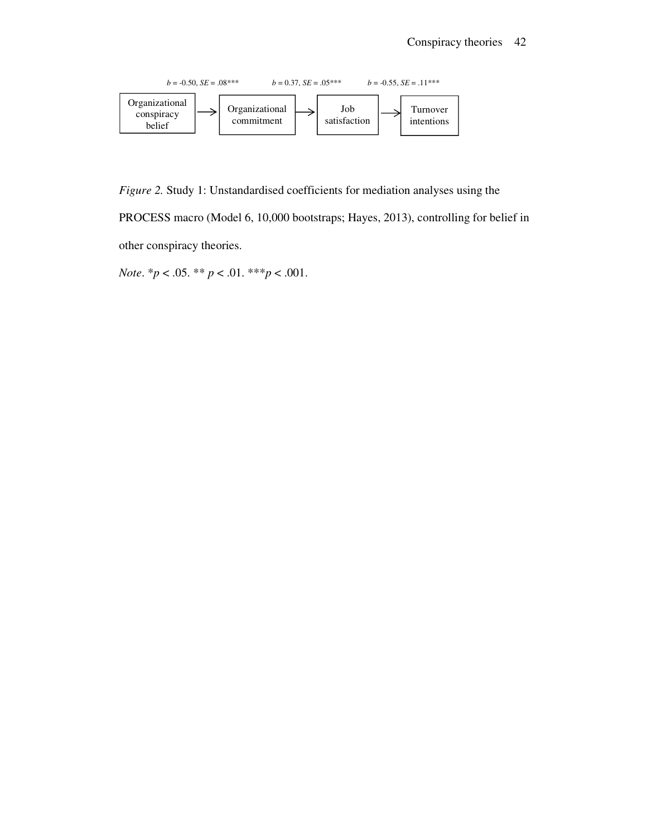

*Figure 2.* Study 1: Unstandardised coefficients for mediation analyses using the

PROCESS macro (Model 6, 10,000 bootstraps; Hayes, 2013), controlling for belief in other conspiracy theories.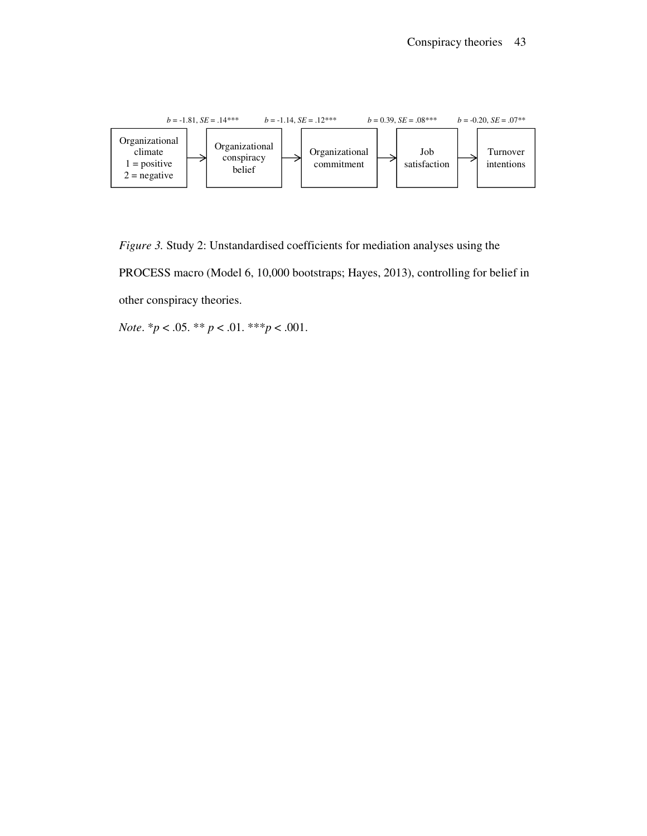

*Figure 3.* Study 2: Unstandardised coefficients for mediation analyses using the PROCESS macro (Model 6, 10,000 bootstraps; Hayes, 2013), controlling for belief in other conspiracy theories.